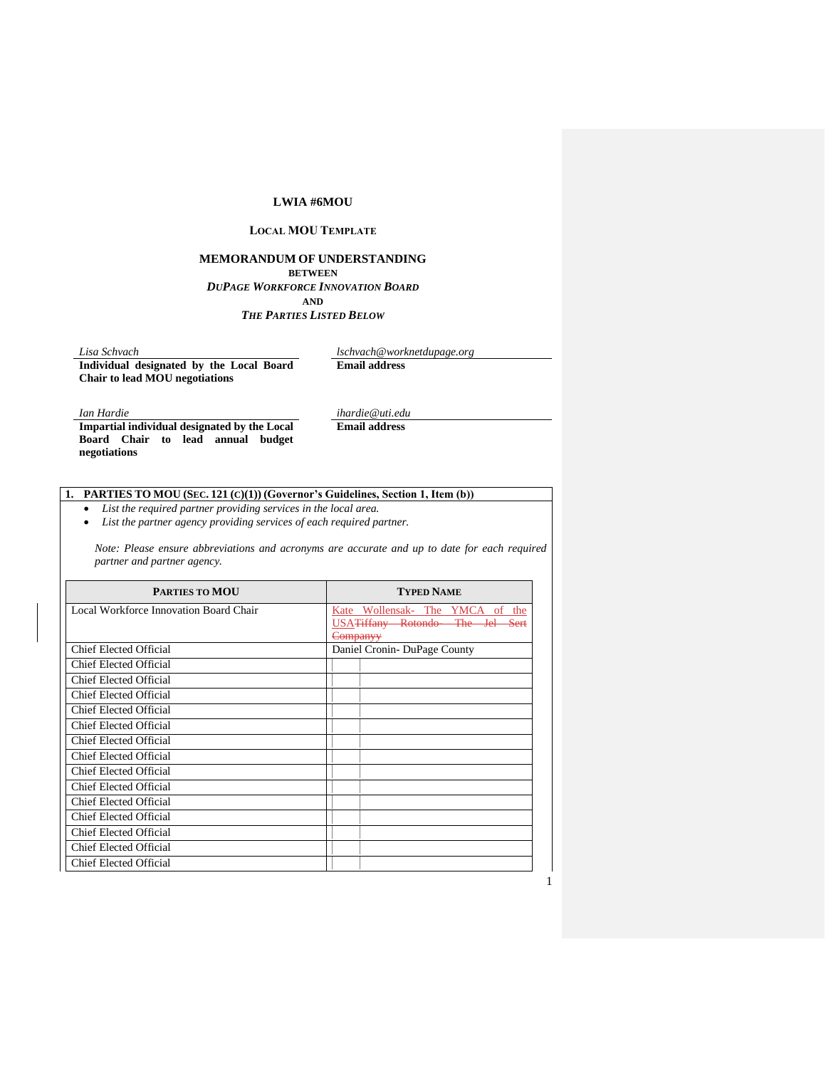### **LWIA #6MOU**

## **LOCAL MOU TEMPLATE**

# **MEMORANDUM OF UNDERSTANDING BETWEEN** *DUPAGE WORKFORCE INNOVATION BOARD*

**AND** *THE PARTIES LISTED BELOW*

**Individual designated by the Local Board Chair to lead MOU negotiations**

*Lisa Schvach lschvach@worknetdupage.org* **Email address**

1

*Ian Hardie ihardie@uti.edu*

**Impartial individual designated by the Local Board Chair to lead annual budget negotiations**

**Email address**

### **1. PARTIES TO MOU (SEC. 121 (C)(1)) (Governor's Guidelines, Section 1, Item (b))**

• *List the required partner providing services in the local area.*

• *List the partner agency providing services of each required partner.*

*Note: Please ensure abbreviations and acronyms are accurate and up to date for each required partner and partner agency.* 

| <b>PARTIES TO MOU</b>                  | <b>TYPED NAME</b>                            |
|----------------------------------------|----------------------------------------------|
| Local Workforce Innovation Board Chair | Kate Wollensak- The YMCA of the              |
|                                        | USA <del>Tiffany Rotondo- The Jel Sert</del> |
|                                        | <del>Companyy</del>                          |
| Chief Elected Official                 | Daniel Cronin-DuPage County                  |
| Chief Elected Official                 |                                              |
| Chief Elected Official                 |                                              |
| Chief Elected Official                 |                                              |
| Chief Elected Official                 |                                              |
| <b>Chief Elected Official</b>          |                                              |
| Chief Elected Official                 |                                              |
| Chief Elected Official                 |                                              |
| <b>Chief Elected Official</b>          |                                              |
| Chief Elected Official                 |                                              |
| Chief Elected Official                 |                                              |
| Chief Elected Official                 |                                              |
| <b>Chief Elected Official</b>          |                                              |
| Chief Elected Official                 |                                              |
| Chief Elected Official                 |                                              |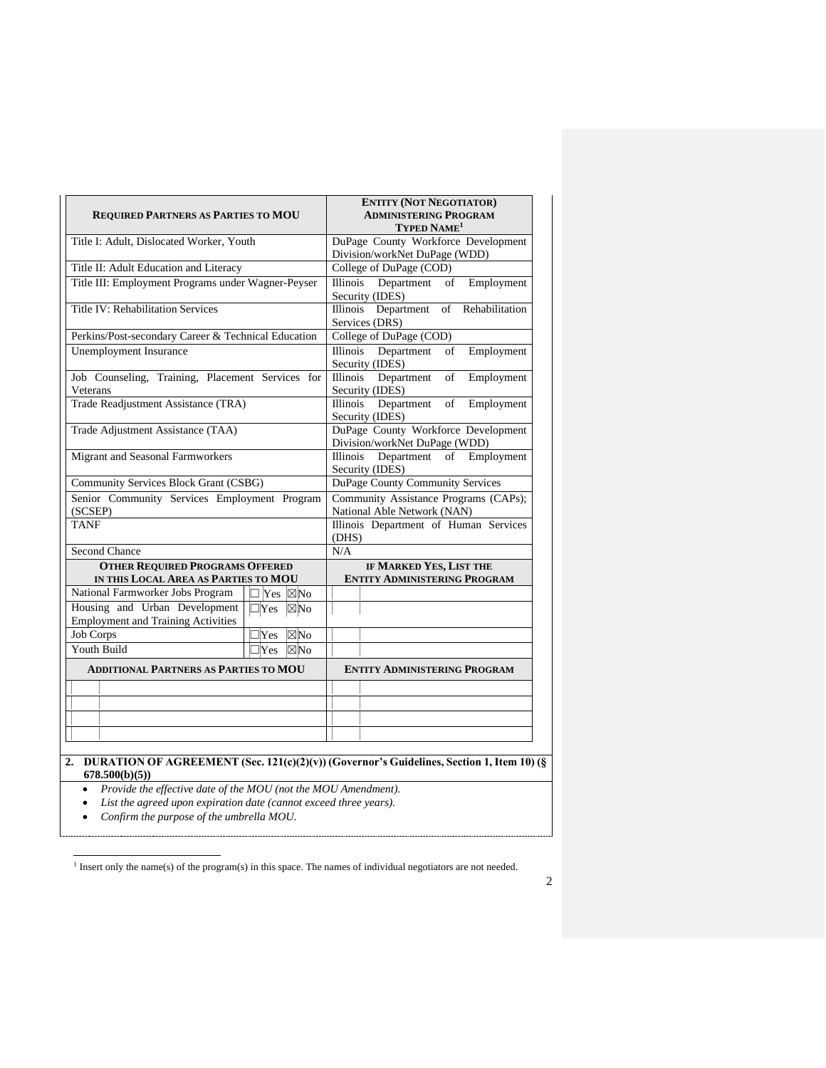| <b>REQUIRED PARTNERS AS PARTIES TO MOU</b>                                     | <b>ENTITY (NOT NEGOTIATOR)</b><br><b>ADMINISTERING PROGRAM</b><br>TYPED NAME <sup>1</sup> |                                                                      |  |  |  |  |  |  |  |
|--------------------------------------------------------------------------------|-------------------------------------------------------------------------------------------|----------------------------------------------------------------------|--|--|--|--|--|--|--|
| Title I: Adult, Dislocated Worker, Youth                                       |                                                                                           | DuPage County Workforce Development<br>Division/workNet DuPage (WDD) |  |  |  |  |  |  |  |
| Title II: Adult Education and Literacy                                         | College of DuPage (COD)                                                                   |                                                                      |  |  |  |  |  |  |  |
| Title III: Employment Programs under Wagner-Peyser                             | <b>Illinois</b><br>Department<br>Employment<br>of<br>Security (IDES)                      |                                                                      |  |  |  |  |  |  |  |
| Title IV: Rehabilitation Services                                              | Department<br>Illinois<br>of<br>Rehabilitation<br>Services (DRS)                          |                                                                      |  |  |  |  |  |  |  |
| Perkins/Post-secondary Career & Technical Education                            |                                                                                           | College of DuPage (COD)                                              |  |  |  |  |  |  |  |
| <b>Unemployment Insurance</b>                                                  | Illinois<br>Department<br>Employment<br>of<br>Security (IDES)                             |                                                                      |  |  |  |  |  |  |  |
| Job Counseling, Training, Placement Services for<br>Veterans                   |                                                                                           | <b>Illinois</b><br>Department<br>Employment<br>of<br>Security (IDES) |  |  |  |  |  |  |  |
| Trade Readjustment Assistance (TRA)                                            |                                                                                           | Department<br>Illinois<br>of<br>Employment<br>Security (IDES)        |  |  |  |  |  |  |  |
| Trade Adjustment Assistance (TAA)                                              |                                                                                           | DuPage County Workforce Development<br>Division/workNet DuPage (WDD) |  |  |  |  |  |  |  |
| Migrant and Seasonal Farmworkers                                               |                                                                                           | Employment<br><b>Illinois</b><br>Department<br>of<br>Security (IDES) |  |  |  |  |  |  |  |
| Community Services Block Grant (CSBG)                                          |                                                                                           | DuPage County Community Services                                     |  |  |  |  |  |  |  |
| Senior Community Services Employment Program<br>(SCSEP)                        |                                                                                           | Community Assistance Programs (CAPs);<br>National Able Network (NAN) |  |  |  |  |  |  |  |
| <b>TANF</b>                                                                    |                                                                                           | Illinois Department of Human Services<br>(DHS)                       |  |  |  |  |  |  |  |
| <b>Second Chance</b>                                                           |                                                                                           | N/A                                                                  |  |  |  |  |  |  |  |
| <b>OTHER REQUIRED PROGRAMS OFFERED</b><br>IN THIS LOCAL AREA AS PARTIES TO MOU |                                                                                           | IF MARKED YES, LIST THE<br><b>ENTITY ADMINISTERING PROGRAM</b>       |  |  |  |  |  |  |  |
| National Farmworker Jobs Program                                               | Yes<br>$\boxtimes$ No                                                                     |                                                                      |  |  |  |  |  |  |  |
| Housing and Urban Development                                                  | $\Box$ Yes<br>$\boxtimes$ No                                                              |                                                                      |  |  |  |  |  |  |  |
| <b>Employment and Training Activities</b>                                      |                                                                                           |                                                                      |  |  |  |  |  |  |  |
| <b>Job Corps</b>                                                               | $\boxtimes$ No<br>Yes                                                                     |                                                                      |  |  |  |  |  |  |  |
| Youth Build                                                                    | $\Box$ Yes<br>$\boxtimes$ No                                                              |                                                                      |  |  |  |  |  |  |  |
| <b>ADDITIONAL PARTNERS AS PARTIES TO MOU</b>                                   |                                                                                           | <b>ENTITY ADMINISTERING PROGRAM</b>                                  |  |  |  |  |  |  |  |
|                                                                                |                                                                                           |                                                                      |  |  |  |  |  |  |  |
|                                                                                |                                                                                           |                                                                      |  |  |  |  |  |  |  |
|                                                                                |                                                                                           |                                                                      |  |  |  |  |  |  |  |
|                                                                                |                                                                                           |                                                                      |  |  |  |  |  |  |  |
|                                                                                |                                                                                           |                                                                      |  |  |  |  |  |  |  |

**678.500(b)(5))**

• *Provide the effective date of the MOU (not the MOU Amendment).*

• *List the agreed upon expiration date (cannot exceed three years).*

• *Confirm the purpose of the umbrella MOU.*

<sup>1</sup> Insert only the name(s) of the program(s) in this space. The names of individual negotiators are not needed.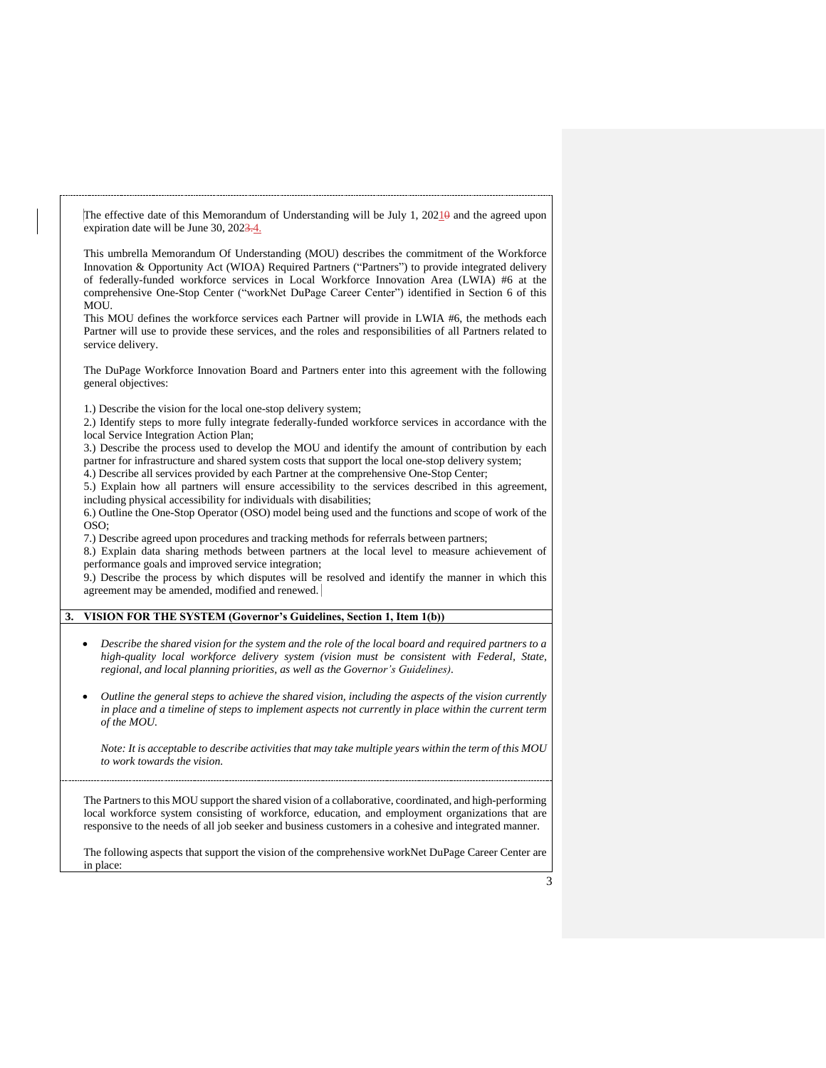The effective date of this Memorandum of Understanding will be July 1, 20210 and the agreed upon expiration date will be June 30, 2023.4.

This umbrella Memorandum Of Understanding (MOU) describes the commitment of the Workforce Innovation & Opportunity Act (WIOA) Required Partners ("Partners") to provide integrated delivery of federally-funded workforce services in Local Workforce Innovation Area (LWIA) #6 at the comprehensive One-Stop Center ("workNet DuPage Career Center") identified in Section 6 of this MOU.

This MOU defines the workforce services each Partner will provide in LWIA #6, the methods each Partner will use to provide these services, and the roles and responsibilities of all Partners related to service delivery.

The DuPage Workforce Innovation Board and Partners enter into this agreement with the following general objectives:

1.) Describe the vision for the local one-stop delivery system;

2.) Identify steps to more fully integrate federally-funded workforce services in accordance with the local Service Integration Action Plan;

3.) Describe the process used to develop the MOU and identify the amount of contribution by each partner for infrastructure and shared system costs that support the local one-stop delivery system;

4.) Describe all services provided by each Partner at the comprehensive One-Stop Center;

5.) Explain how all partners will ensure accessibility to the services described in this agreement, including physical accessibility for individuals with disabilities;

6.) Outline the One-Stop Operator (OSO) model being used and the functions and scope of work of the OSO;

7.) Describe agreed upon procedures and tracking methods for referrals between partners;

8.) Explain data sharing methods between partners at the local level to measure achievement of performance goals and improved service integration;

9.) Describe the process by which disputes will be resolved and identify the manner in which this agreement may be amended, modified and renewed.

#### **3. VISION FOR THE SYSTEM (Governor's Guidelines, Section 1, Item 1(b))**

- *Describe the shared vision for the system and the role of the local board and required partners to a high-quality local workforce delivery system (vision must be consistent with Federal, State, regional, and local planning priorities, as well as the Governor's Guidelines).*
- *Outline the general steps to achieve the shared vision, including the aspects of the vision currently in place and a timeline of steps to implement aspects not currently in place within the current term of the MOU.*

*Note: It is acceptable to describe activities that may take multiple years within the term of this MOU to work towards the vision.*

The Partners to this MOU support the shared vision of a collaborative, coordinated, and high-performing local workforce system consisting of workforce, education, and employment organizations that are responsive to the needs of all job seeker and business customers in a cohesive and integrated manner.

The following aspects that support the vision of the comprehensive workNet DuPage Career Center are in place: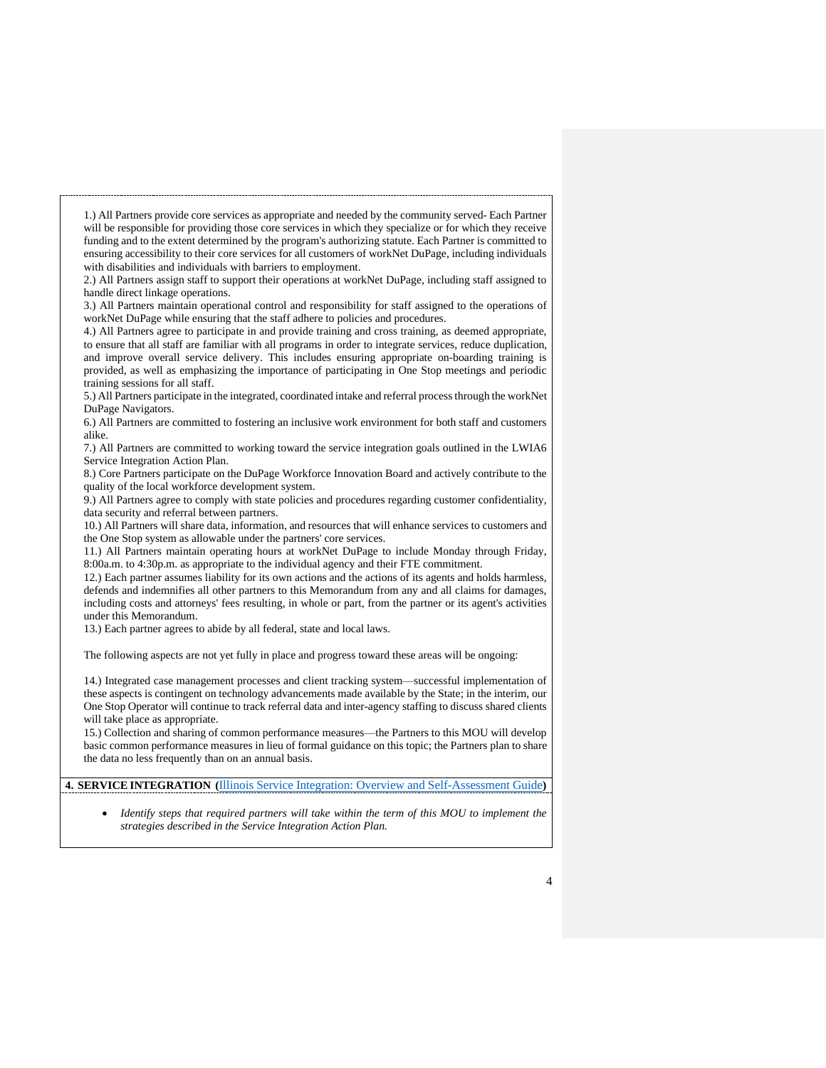1.) All Partners provide core services as appropriate and needed by the community served- Each Partner will be responsible for providing those core services in which they specialize or for which they receive funding and to the extent determined by the program's authorizing statute. Each Partner is committed to ensuring accessibility to their core services for all customers of workNet DuPage, including individuals with disabilities and individuals with barriers to employment.

2.) All Partners assign staff to support their operations at workNet DuPage, including staff assigned to handle direct linkage operations.

3.) All Partners maintain operational control and responsibility for staff assigned to the operations of workNet DuPage while ensuring that the staff adhere to policies and procedures.

4.) All Partners agree to participate in and provide training and cross training, as deemed appropriate, to ensure that all staff are familiar with all programs in order to integrate services, reduce duplication, and improve overall service delivery. This includes ensuring appropriate on-boarding training is provided, as well as emphasizing the importance of participating in One Stop meetings and periodic training sessions for all staff.

5.) All Partners participate in the integrated, coordinated intake and referral process through the workNet DuPage Navigators.

6.) All Partners are committed to fostering an inclusive work environment for both staff and customers alike.

7.) All Partners are committed to working toward the service integration goals outlined in the LWIA6 Service Integration Action Plan.

8.) Core Partners participate on the DuPage Workforce Innovation Board and actively contribute to the quality of the local workforce development system.

9.) All Partners agree to comply with state policies and procedures regarding customer confidentiality, data security and referral between partners.

10.) All Partners will share data, information, and resources that will enhance services to customers and the One Stop system as allowable under the partners' core services.

11.) All Partners maintain operating hours at workNet DuPage to include Monday through Friday, 8:00a.m. to 4:30p.m. as appropriate to the individual agency and their FTE commitment.

12.) Each partner assumes liability for its own actions and the actions of its agents and holds harmless, defends and indemnifies all other partners to this Memorandum from any and all claims for damages, including costs and attorneys' fees resulting, in whole or part, from the partner or its agent's activities under this Memorandum.

13.) Each partner agrees to abide by all federal, state and local laws.

The following aspects are not yet fully in place and progress toward these areas will be ongoing:

14.) Integrated case management processes and client tracking system—successful implementation of these aspects is contingent on technology advancements made available by the State; in the interim, our One Stop Operator will continue to track referral data and inter-agency staffing to discuss shared clients will take place as appropriate.

15.) Collection and sharing of common performance measures—the Partners to this MOU will develop basic common performance measures in lieu of formal guidance on this topic; the Partners plan to share the data no less frequently than on an annual basis.

**4. SERVICE INTEGRATION (**[Illinois Service Integration: Overview and Self-Assessment Guide](https://www.illinoisworknet.com/DownloadPrint/Service%20Integration%20Self-Assessment%20Guide%2008.27.19.pdf)**)** 

• *Identify steps that required partners will take within the term of this MOU to implement the strategies described in the Service Integration Action Plan.*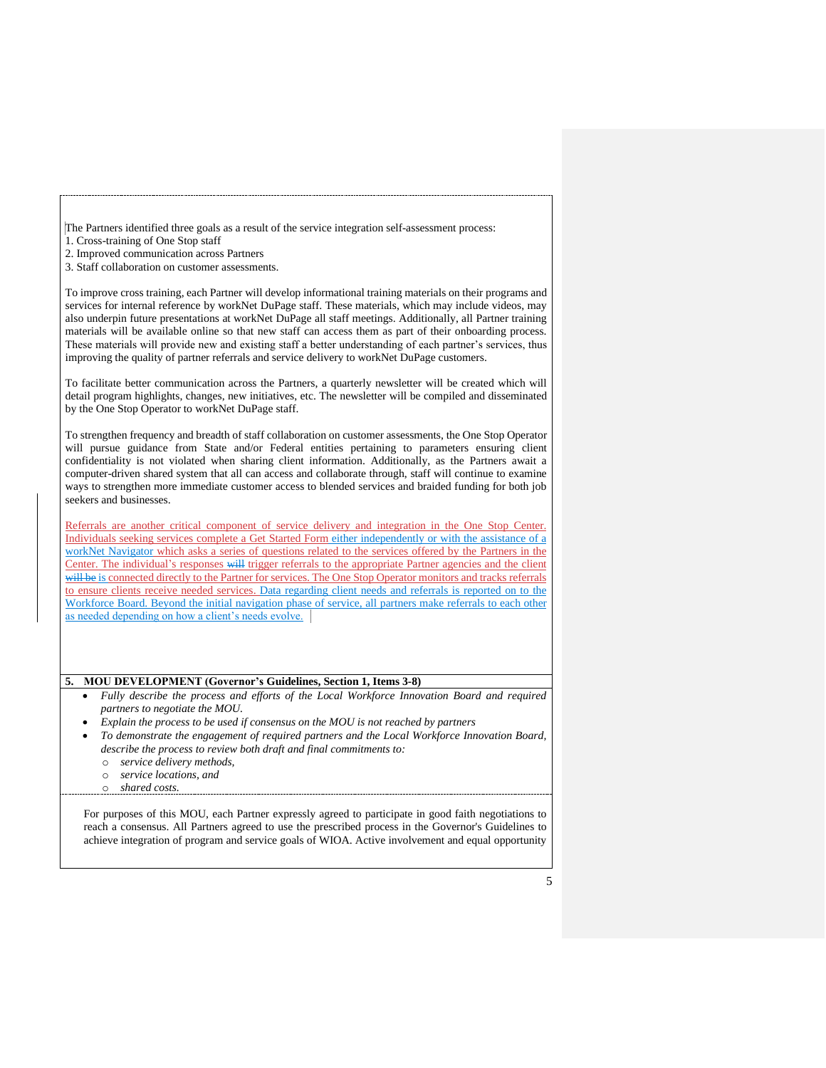The Partners identified three goals as a result of the service integration self-assessment process:

1. Cross-training of One Stop staff

2. Improved communication across Partners

3. Staff collaboration on customer assessments.

To improve cross training, each Partner will develop informational training materials on their programs and services for internal reference by workNet DuPage staff. These materials, which may include videos, may also underpin future presentations at workNet DuPage all staff meetings. Additionally, all Partner training materials will be available online so that new staff can access them as part of their onboarding process. These materials will provide new and existing staff a better understanding of each partner's services, thus improving the quality of partner referrals and service delivery to workNet DuPage customers.

To facilitate better communication across the Partners, a quarterly newsletter will be created which will detail program highlights, changes, new initiatives, etc. The newsletter will be compiled and disseminated by the One Stop Operator to workNet DuPage staff.

To strengthen frequency and breadth of staff collaboration on customer assessments, the One Stop Operator will pursue guidance from State and/or Federal entities pertaining to parameters ensuring client confidentiality is not violated when sharing client information. Additionally, as the Partners await a computer-driven shared system that all can access and collaborate through, staff will continue to examine ways to strengthen more immediate customer access to blended services and braided funding for both job seekers and businesses.

Referrals are another critical component of service delivery and integration in the One Stop Center. Individuals seeking services complete a Get Started Form either independently or with the assistance of a workNet Navigator which asks a series of questions related to the services offered by the Partners in the Center. The individual's responses will trigger referrals to the appropriate Partner agencies and the client will be is connected directly to the Partner for services. The One Stop Operator monitors and tracks referrals to ensure clients receive needed services. Data regarding client needs and referrals is reported on to the Workforce Board. Beyond the initial navigation phase of service, all partners make referrals to each other as needed depending on how a client's needs evolve.

#### **5. MOU DEVELOPMENT (Governor's Guidelines, Section 1, Items 3-8)**

- *Fully describe the process and efforts of the Local Workforce Innovation Board and required partners to negotiate the MOU.*
- *Explain the process to be used if consensus on the MOU is not reached by partners*
- *To demonstrate the engagement of required partners and the Local Workforce Innovation Board, describe the process to review both draft and final commitments to:*
	- o *service delivery methods,*
	- o *service locations, and*
	- o *shared costs.*

For purposes of this MOU, each Partner expressly agreed to participate in good faith negotiations to reach a consensus. All Partners agreed to use the prescribed process in the Governor's Guidelines to achieve integration of program and service goals of WIOA. Active involvement and equal opportunity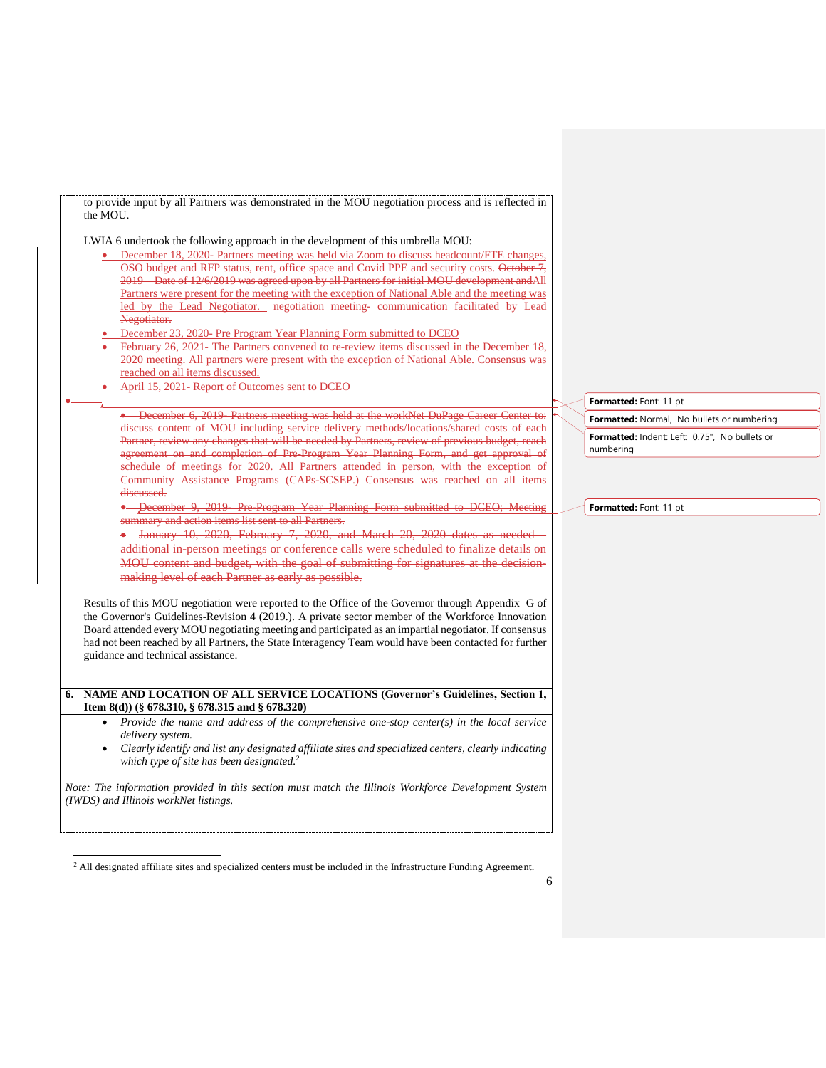to provide input by all Partners was demonstrated in the MOU negotiation process and is reflected in the MOU.

LWIA 6 undertook the following approach in the development of this umbrella MOU:

- December 18, 2020- Partners meeting was held via Zoom to discuss headcount/FTE changes, OSO budget and RFP status, rent, office space and Covid PPE and security costs. October 7, 2019—Date of 12/6/2019 was agreed upon by all Partners for initial MOU development andAll Partners were present for the meeting with the exception of National Able and the meeting was led by the Lead Negotiator. - negotiation meeting communication facilitated by Negotiator.
- December 23, 2020- Pre Program Year Planning Form submitted to DCEO
- February 26, 2021- The Partners convened to re-review items discussed in the December 18, 2020 meeting. All partners were present with the exception of National Able. Consensus was reached on all items discussed.
- April 15, 2021- Report of Outcomes sent to DCEO

•

• December 6, 2019- Partners meeting was held at the workNet DuPage Career Center to: discuss content of MOU including service delivery methods/locations/shared costs of each Partner, review any changes that will be needed by Partners, review of previous budget, reach agreement on and completion of Pre-Program Year Planning Form, and get approval of schedule of meetings for 2020. All Partners attended in person, with the exception of Community Assistance Programs (CAPs-SCSEP.) Consensus was reached on all items discussed.

• December 9, 2019 Pre-Program Year Planning Form submitted to DCEO; Meeting summary and action items list sent to all Partners.

• January 10, 2020, February 7, 2020, and March 20, 2020 dates as needed additional in-person meetings or conference calls were scheduled to finalize details on MOU content and budget, with the goal of submitting for signatures at the decisionmaking level of each Partner as early as possible.

Results of this MOU negotiation were reported to the Office of the Governor through Appendix G of the Governor's Guidelines-Revision 4 (2019.). A private sector member of the Workforce Innovation Board attended every MOU negotiating meeting and participated as an impartial negotiator. If consensus had not been reached by all Partners, the State Interagency Team would have been contacted for further guidance and technical assistance.

#### **6. NAME AND LOCATION OF ALL SERVICE LOCATIONS (Governor's Guidelines, Section 1, Item 8(d)) (§ 678.310, § 678.315 and § 678.320)**

- *Provide the name and address of the comprehensive one-stop center(s) in the local service delivery system.*
- *Clearly identify and list any designated affiliate sites and specialized centers, clearly indicating which type of site has been designated. 2*

*Note: The information provided in this section must match the Illinois Workforce Development System (IWDS) and Illinois workNet listings.* 

**Formatted:** Font: 11 pt

**Formatted:** Normal, No bullets or numbering **Formatted:** Indent: Left: 0.75", No bullets or numbering

**Formatted:** Font: 11 pt

<sup>&</sup>lt;sup>2</sup> All designated affiliate sites and specialized centers must be included in the Infrastructure Funding Agreement.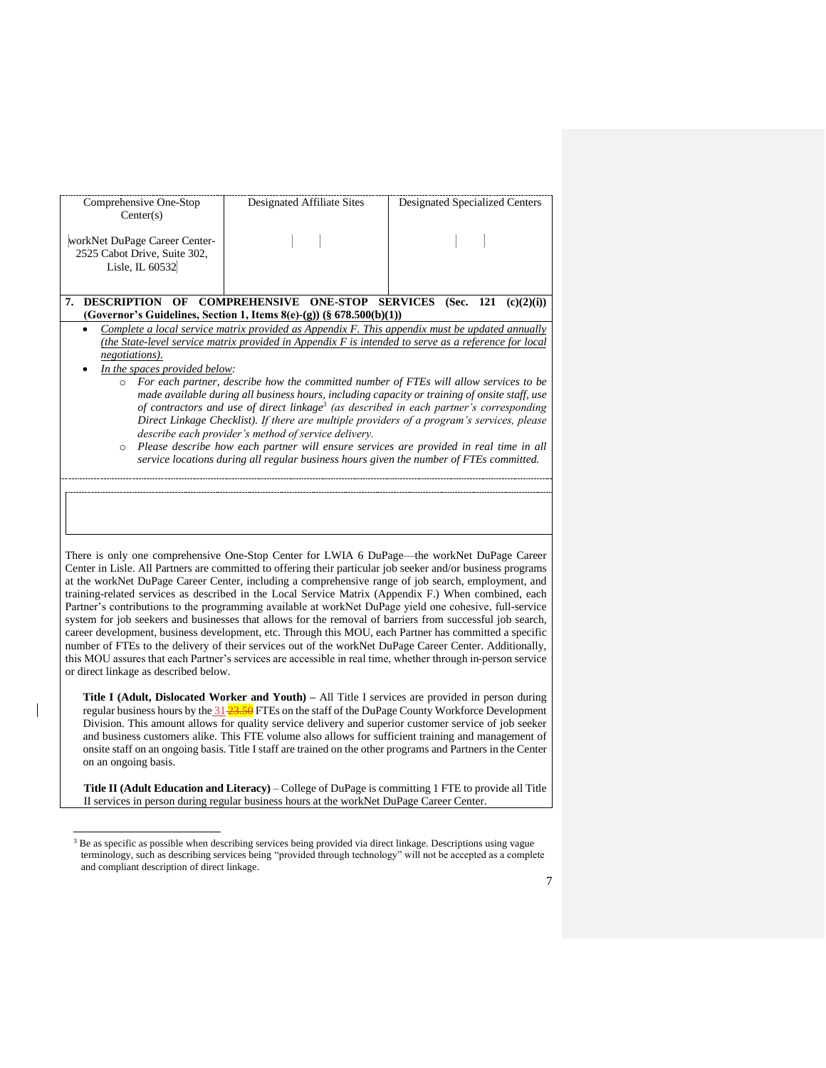| Comprehensive One-Stop<br>Center(s)                                              | Designated Affiliate Sites                                                                                                                                                                                                                                                                                                                                                                                                                                                                                                                                                                                                                                                                                                                                                                                                                                              | Designated Specialized Centers |
|----------------------------------------------------------------------------------|-------------------------------------------------------------------------------------------------------------------------------------------------------------------------------------------------------------------------------------------------------------------------------------------------------------------------------------------------------------------------------------------------------------------------------------------------------------------------------------------------------------------------------------------------------------------------------------------------------------------------------------------------------------------------------------------------------------------------------------------------------------------------------------------------------------------------------------------------------------------------|--------------------------------|
| workNet DuPage Career Center-<br>2525 Cabot Drive, Suite 302,<br>Lisle, IL 60532 |                                                                                                                                                                                                                                                                                                                                                                                                                                                                                                                                                                                                                                                                                                                                                                                                                                                                         |                                |
| <b>DESCRIPTION OF</b><br>7.                                                      | <b>COMPREHENSIVE</b><br><b>ONE-STOP SERVICES</b><br>(Governor's Guidelines, Section 1, Items 8(e)-(g)) (§ 678.500(b)(1))                                                                                                                                                                                                                                                                                                                                                                                                                                                                                                                                                                                                                                                                                                                                                | (Sec. 121)<br>(c)(2)(i))       |
| negotiations).<br>In the spaces provided below:<br>$\circ$<br>$\circ$            | Complete a local service matrix provided as Appendix $F$ . This appendix must be updated annually<br>(the State-level service matrix provided in Appendix F is intended to serve as a reference for local<br>For each partner, describe how the committed number of FTEs will allow services to be<br>made available during all business hours, including capacity or training of onsite staff, use<br>of contractors and use of direct linkage <sup>3</sup> (as described in each partner's corresponding<br>Direct Linkage Checklist). If there are multiple providers of a program's services, please<br>describe each provider's method of service delivery.<br>Please describe how each partner will ensure services are provided in real time in all<br>service locations during all regular business hours given the number of FTEs committed.                   |                                |
|                                                                                  | There is only one comprehensive One-Stop Center for LWIA 6 DuPage—the workNet DuPage Career<br>Center in Lisle. All Partners are committed to offering their particular job seeker and/or business programs<br>at the workNet DuPage Career Center, including a comprehensive range of job search, employment, and<br>training-related services as described in the Local Service Matrix (Appendix F.) When combined, each<br>Partner's contributions to the programming available at workNet DuPage yield one cohesive, full-service<br>system for job seekers and businesses that allows for the removal of barriers from successful job search,<br>career development, business development, etc. Through this MOU, each Partner has committed a specific<br>number of FTEs to the delivery of their services out of the workNet DuPage Career Center. Additionally, |                                |

**Title I (Adult, Dislocated Worker and Youth) –** All Title I services are provided in person during regular business hours by the 31-23.50 FTEs on the staff of the DuPage County Workforce Development Division. This amount allows for quality service delivery and superior customer service of job seeker and business customers alike. This FTE volume also allows for sufficient training and management of onsite staff on an ongoing basis. Title I staff are trained on the other programs and Partners in the Center on an ongoing basis.

this MOU assures that each Partner's services are accessible in real time, whether through in-person service

or direct linkage as described below.

 $\overline{\phantom{a}}$ 

**Title II (Adult Education and Literacy)** – College of DuPage is committing 1 FTE to provide all Title II services in person during regular business hours at the workNet DuPage Career Center.

<sup>&</sup>lt;sup>3</sup> Be as specific as possible when describing services being provided via direct linkage. Descriptions using vague terminology, such as describing services being "provided through technology" will not be accepted as a complete and compliant description of direct linkage.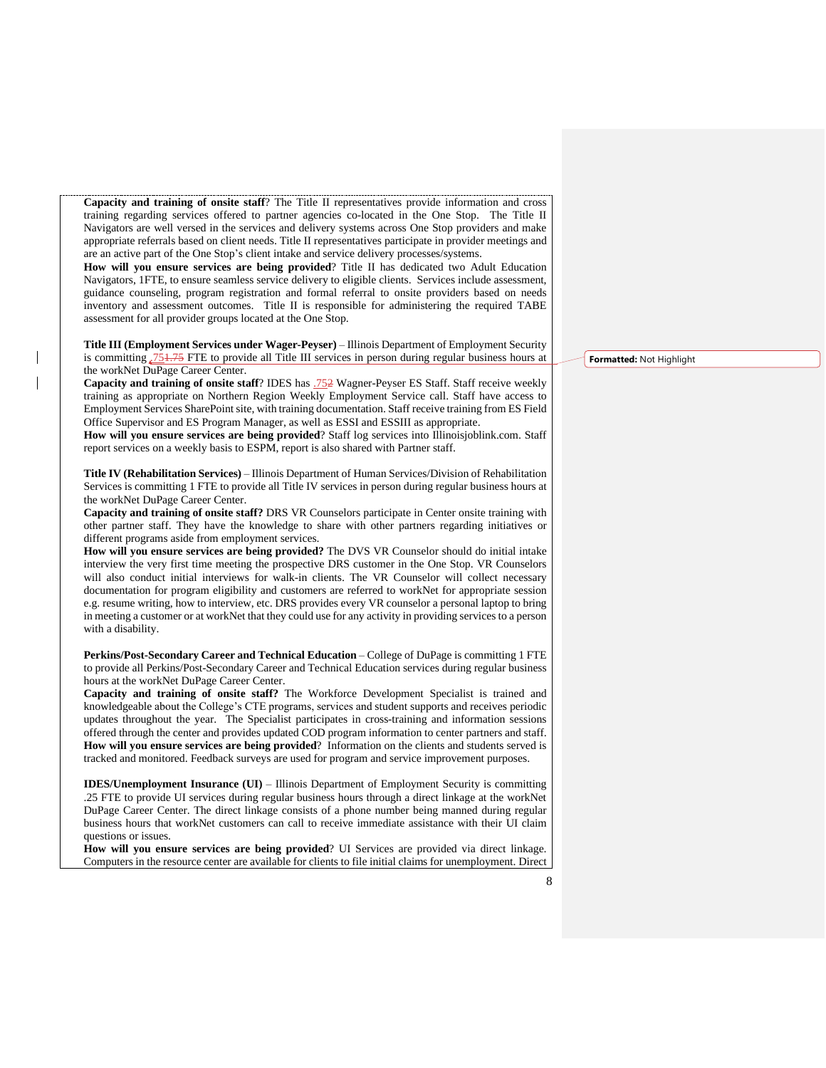**Capacity and training of onsite staff**? The Title II representatives provide information and cross training regarding services offered to partner agencies co-located in the One Stop. The Title II Navigators are well versed in the services and delivery systems across One Stop providers and make appropriate referrals based on client needs. Title II representatives participate in provider meetings and are an active part of the One Stop's client intake and service delivery processes/systems.

**How will you ensure services are being provided**? Title II has dedicated two Adult Education Navigators, 1FTE, to ensure seamless service delivery to eligible clients. Services include assessment, guidance counseling, program registration and formal referral to onsite providers based on needs inventory and assessment outcomes. Title II is responsible for administering the required TABE assessment for all provider groups located at the One Stop.

**Title III (Employment Services under Wager-Peyser)** – Illinois Department of Employment Security is committing .751.75 FTE to provide all Title III services in person during regular business hours at the workNet DuPage Career Center.

Capacity and training of onsite staff? IDES has .752 Wagner-Peyser ES Staff. Staff receive weekly training as appropriate on Northern Region Weekly Employment Service call. Staff have access to Employment Services SharePoint site, with training documentation. Staff receive training from ES Field Office Supervisor and ES Program Manager, as well as ESSI and ESSIII as appropriate.

**How will you ensure services are being provided**? Staff log services into Illinoisjoblink.com. Staff report services on a weekly basis to ESPM, report is also shared with Partner staff.

**Title IV (Rehabilitation Services)** – Illinois Department of Human Services/Division of Rehabilitation Services is committing 1 FTE to provide all Title IV services in person during regular business hours at the workNet DuPage Career Center.

**Capacity and training of onsite staff?** DRS VR Counselors participate in Center onsite training with other partner staff. They have the knowledge to share with other partners regarding initiatives or different programs aside from employment services.

**How will you ensure services are being provided?** The DVS VR Counselor should do initial intake interview the very first time meeting the prospective DRS customer in the One Stop. VR Counselors will also conduct initial interviews for walk-in clients. The VR Counselor will collect necessary documentation for program eligibility and customers are referred to workNet for appropriate session e.g. resume writing, how to interview, etc. DRS provides every VR counselor a personal laptop to bring in meeting a customer or at workNet that they could use for any activity in providing services to a person with a disability.

**Perkins/Post-Secondary Career and Technical Education** – College of DuPage is committing 1 FTE to provide all Perkins/Post-Secondary Career and Technical Education services during regular business hours at the workNet DuPage Career Center.

**Capacity and training of onsite staff?** The Workforce Development Specialist is trained and knowledgeable about the College's CTE programs, services and student supports and receives periodic updates throughout the year. The Specialist participates in cross-training and information sessions offered through the center and provides updated COD program information to center partners and staff. **How will you ensure services are being provided**? Information on the clients and students served is tracked and monitored. Feedback surveys are used for program and service improvement purposes.

**IDES/Unemployment Insurance (UI)** – Illinois Department of Employment Security is committing .25 FTE to provide UI services during regular business hours through a direct linkage at the workNet DuPage Career Center. The direct linkage consists of a phone number being manned during regular business hours that workNet customers can call to receive immediate assistance with their UI claim questions or issues.

**How will you ensure services are being provided**? UI Services are provided via direct linkage. Computers in the resource center are available for clients to file initial claims for unemployment. Direct **Formatted:** Not Highlight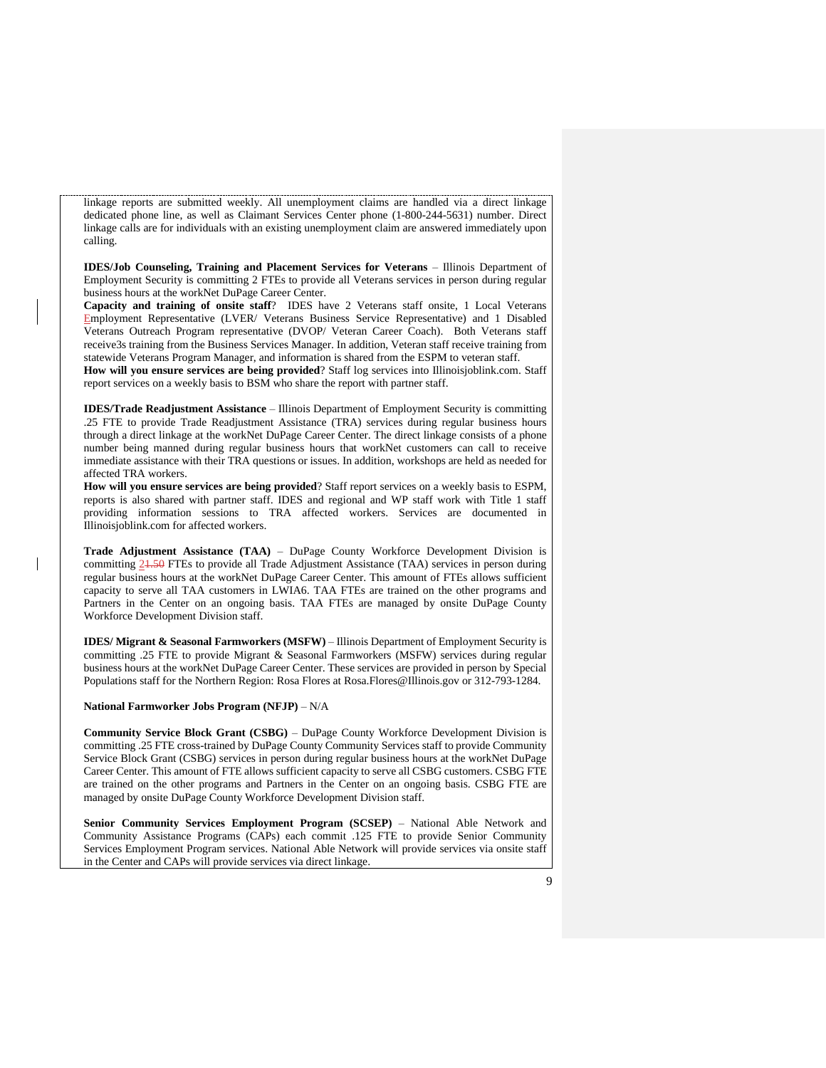linkage reports are submitted weekly. All unemployment claims are handled via a direct linkage dedicated phone line, as well as Claimant Services Center phone (1-800-244-5631) number. Direct linkage calls are for individuals with an existing unemployment claim are answered immediately upon calling.

**IDES/Job Counseling, Training and Placement Services for Veterans** – Illinois Department of Employment Security is committing 2 FTEs to provide all Veterans services in person during regular business hours at the workNet DuPage Career Center.

**Capacity and training of onsite staff**? IDES have 2 Veterans staff onsite, 1 Local Veterans Employment Representative (LVER/ Veterans Business Service Representative) and 1 Disabled Veterans Outreach Program representative (DVOP/ Veteran Career Coach). Both Veterans staff receive3s training from the Business Services Manager. In addition, Veteran staff receive training from statewide Veterans Program Manager, and information is shared from the ESPM to veteran staff.

**How will you ensure services are being provided**? Staff log services into Illinoisjoblink.com. Staff report services on a weekly basis to BSM who share the report with partner staff.

**IDES/Trade Readjustment Assistance** – Illinois Department of Employment Security is committing .25 FTE to provide Trade Readjustment Assistance (TRA) services during regular business hours through a direct linkage at the workNet DuPage Career Center. The direct linkage consists of a phone number being manned during regular business hours that workNet customers can call to receive immediate assistance with their TRA questions or issues. In addition, workshops are held as needed for affected TRA workers.

**How will you ensure services are being provided**? Staff report services on a weekly basis to ESPM, reports is also shared with partner staff. IDES and regional and WP staff work with Title 1 staff providing information sessions to TRA affected workers. Services are documented in Illinoisjoblink.com for affected workers.

**Trade Adjustment Assistance (TAA)** – DuPage County Workforce Development Division is committing 21.50 FTEs to provide all Trade Adjustment Assistance (TAA) services in person during regular business hours at the workNet DuPage Career Center. This amount of FTEs allows sufficient capacity to serve all TAA customers in LWIA6. TAA FTEs are trained on the other programs and Partners in the Center on an ongoing basis. TAA FTEs are managed by onsite DuPage County Workforce Development Division staff.

**IDES/ Migrant & Seasonal Farmworkers (MSFW)** – Illinois Department of Employment Security is committing .25 FTE to provide Migrant & Seasonal Farmworkers (MSFW) services during regular business hours at the workNet DuPage Career Center. These services are provided in person by Special Populations staff for the Northern Region: Rosa Flores at Rosa.Flores@Illinois.gov or 312-793-1284.

#### **National Farmworker Jobs Program (NFJP)** – N/A

**Community Service Block Grant (CSBG)** – DuPage County Workforce Development Division is committing .25 FTE cross-trained by DuPage County Community Services staff to provide Community Service Block Grant (CSBG) services in person during regular business hours at the workNet DuPage Career Center. This amount of FTE allows sufficient capacity to serve all CSBG customers. CSBG FTE are trained on the other programs and Partners in the Center on an ongoing basis. CSBG FTE are managed by onsite DuPage County Workforce Development Division staff.

**Senior Community Services Employment Program (SCSEP)** – National Able Network and Community Assistance Programs (CAPs) each commit .125 FTE to provide Senior Community Services Employment Program services. National Able Network will provide services via onsite staff in the Center and CAPs will provide services via direct linkage.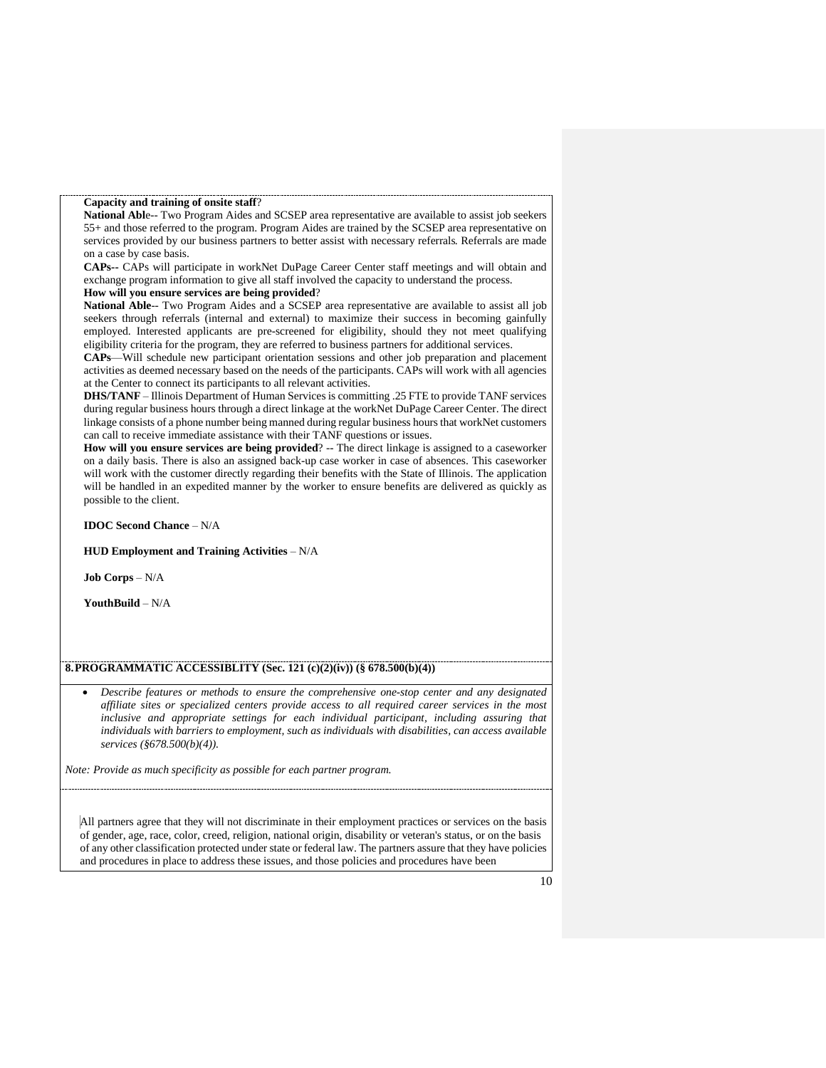#### **Capacity and training of onsite staff**?

**National Abl**e-- Two Program Aides and SCSEP area representative are available to assist job seekers 55+ and those referred to the program. Program Aides are trained by the SCSEP area representative on services provided by our business partners to better assist with necessary referrals. Referrals are made on a case by case basis.

**CAPs--** CAPs will participate in workNet DuPage Career Center staff meetings and will obtain and exchange program information to give all staff involved the capacity to understand the process.

#### **How will you ensure services are being provided**?

**National Able**-- Two Program Aides and a SCSEP area representative are available to assist all job seekers through referrals (internal and external) to maximize their success in becoming gainfully employed. Interested applicants are pre-screened for eligibility, should they not meet qualifying eligibility criteria for the program, they are referred to business partners for additional services.

**CAPs**—Will schedule new participant orientation sessions and other job preparation and placement activities as deemed necessary based on the needs of the participants. CAPs will work with all agencies at the Center to connect its participants to all relevant activities.

**DHS/TANF** – Illinois Department of Human Services is committing .25 FTE to provide TANF services during regular business hours through a direct linkage at the workNet DuPage Career Center. The direct linkage consists of a phone number being manned during regular business hours that workNet customers can call to receive immediate assistance with their TANF questions or issues.

**How will you ensure services are being provided**? -- The direct linkage is assigned to a caseworker on a daily basis. There is also an assigned back-up case worker in case of absences. This caseworker will work with the customer directly regarding their benefits with the State of Illinois. The application will be handled in an expedited manner by the worker to ensure benefits are delivered as quickly as possible to the client.

#### **IDOC Second Chance** – N/A

#### **HUD Employment and Training Activities** – N/A

**Job Corps** – N/A

**YouthBuild** – N/A

#### **8.PROGRAMMATIC ACCESSIBLITY (Sec. 121 (c)(2)(iv)) (§ 678.500(b)(4))**

• *Describe features or methods to ensure the comprehensive one-stop center and any designated affiliate sites or specialized centers provide access to all required career services in the most inclusive and appropriate settings for each individual participant, including assuring that individuals with barriers to employment, such as individuals with disabilities, can access available services (§678.500(b)(4)).*

*Note: Provide as much specificity as possible for each partner program.*

All partners agree that they will not discriminate in their employment practices or services on the basis of gender, age, race, color, creed, religion, national origin, disability or veteran's status, or on the basis of any other classification protected under state or federal law. The partners assure that they have policies and procedures in place to address these issues, and those policies and procedures have been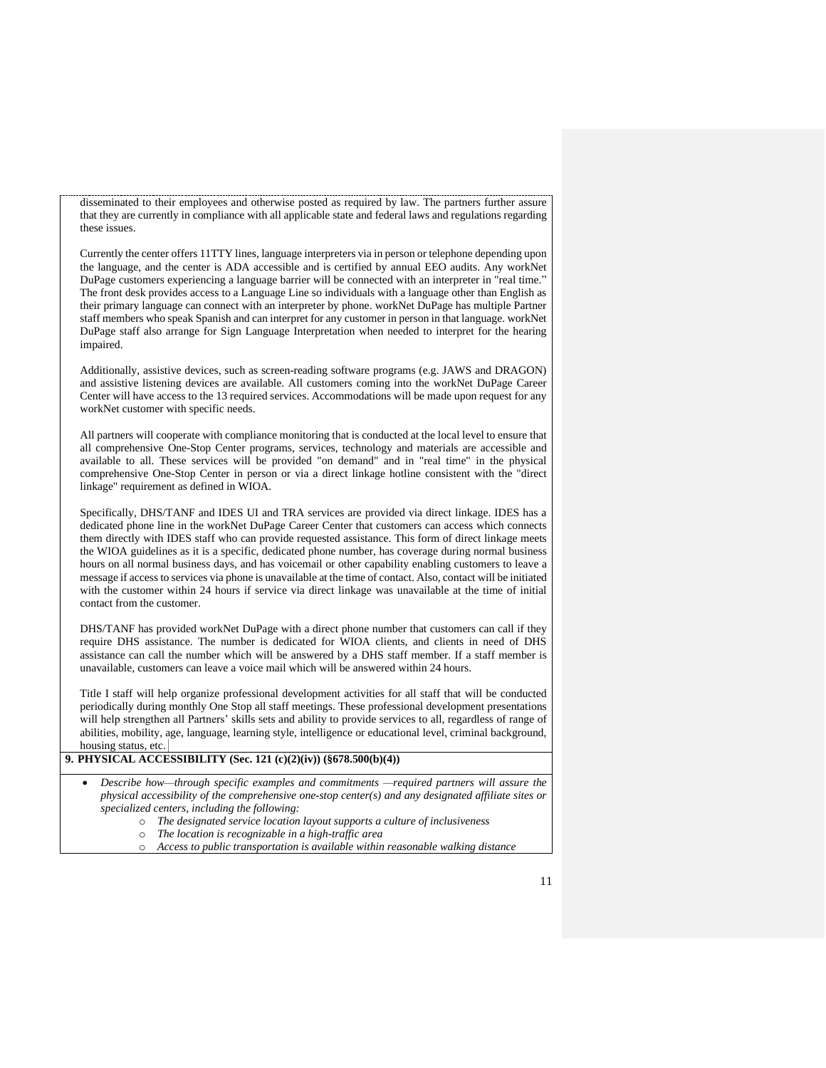disseminated to their employees and otherwise posted as required by law. The partners further assure that they are currently in compliance with all applicable state and federal laws and regulations regarding these issues.

Currently the center offers 11TTY lines, language interpreters via in person or telephone depending upon the language, and the center is ADA accessible and is certified by annual EEO audits. Any workNet DuPage customers experiencing a language barrier will be connected with an interpreter in "real time." The front desk provides access to a Language Line so individuals with a language other than English as their primary language can connect with an interpreter by phone. workNet DuPage has multiple Partner staff members who speak Spanish and can interpret for any customer in person in that language. workNet DuPage staff also arrange for Sign Language Interpretation when needed to interpret for the hearing impaired.

Additionally, assistive devices, such as screen-reading software programs (e.g. JAWS and DRAGON) and assistive listening devices are available. All customers coming into the workNet DuPage Career Center will have access to the 13 required services. Accommodations will be made upon request for any workNet customer with specific needs.

All partners will cooperate with compliance monitoring that is conducted at the local level to ensure that all comprehensive One-Stop Center programs, services, technology and materials are accessible and available to all. These services will be provided "on demand" and in "real time" in the physical comprehensive One-Stop Center in person or via a direct linkage hotline consistent with the "direct linkage" requirement as defined in WIOA.

Specifically, DHS/TANF and IDES UI and TRA services are provided via direct linkage. IDES has a dedicated phone line in the workNet DuPage Career Center that customers can access which connects them directly with IDES staff who can provide requested assistance. This form of direct linkage meets the WIOA guidelines as it is a specific, dedicated phone number, has coverage during normal business hours on all normal business days, and has voicemail or other capability enabling customers to leave a message if access to services via phone is unavailable at the time of contact. Also, contact will be initiated with the customer within 24 hours if service via direct linkage was unavailable at the time of initial contact from the customer.

DHS/TANF has provided workNet DuPage with a direct phone number that customers can call if they require DHS assistance. The number is dedicated for WIOA clients, and clients in need of DHS assistance can call the number which will be answered by a DHS staff member. If a staff member is unavailable, customers can leave a voice mail which will be answered within 24 hours.

Title I staff will help organize professional development activities for all staff that will be conducted periodically during monthly One Stop all staff meetings. These professional development presentations will help strengthen all Partners' skills sets and ability to provide services to all, regardless of range of abilities, mobility, age, language, learning style, intelligence or educational level, criminal background, housing status, etc.

### **9. PHYSICAL ACCESSIBILITY (Sec. 121 (c)(2)(iv)) (§678.500(b)(4))**

• *Describe how—through specific examples and commitments —required partners will assure the physical accessibility of the comprehensive one-stop center(s) and any designated affiliate sites or specialized centers, including the following:* 

- o *The designated service location layout supports a culture of inclusiveness*
- o *The location is recognizable in a high-traffic area*
- Access to public transportation is available within reasonable walking distance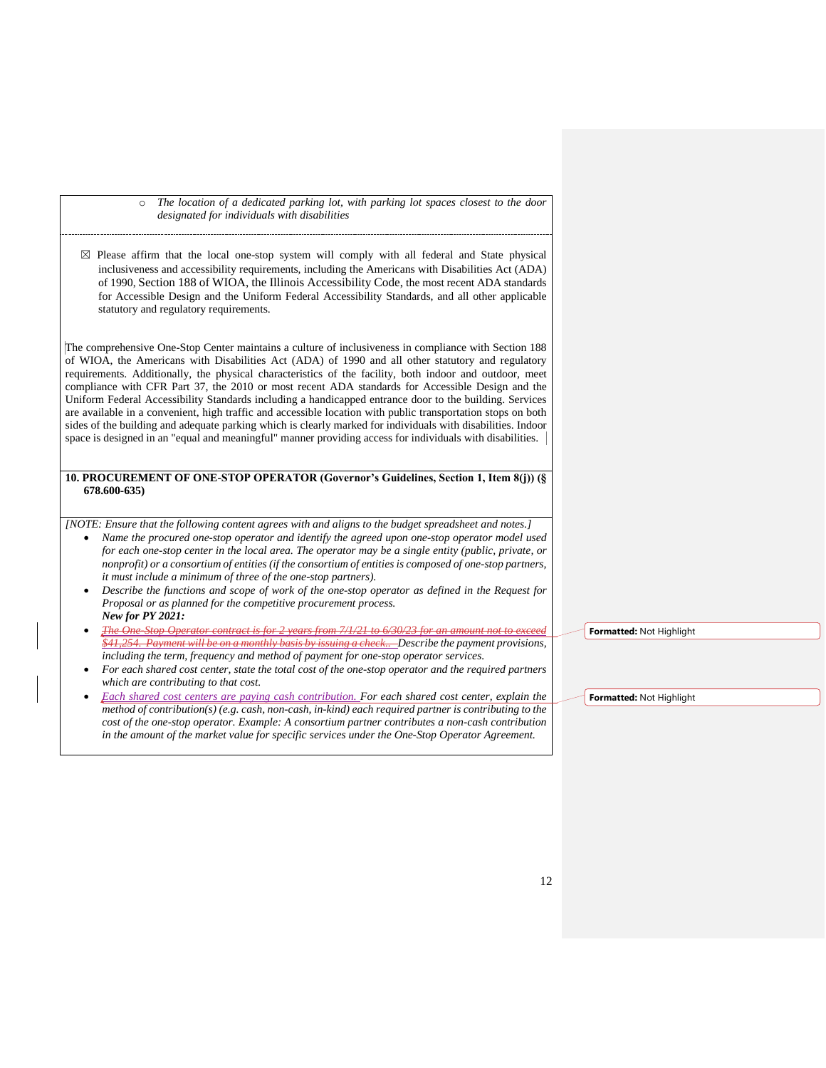o *The location of a dedicated parking lot, with parking lot spaces closest to the door designated for individuals with disabilities*

☒ Please affirm that the local one-stop system will comply with all federal and State physical inclusiveness and accessibility requirements, including the Americans with Disabilities Act (ADA) of 1990, Section 188 of WIOA, the Illinois Accessibility Code, the most recent ADA standards for Accessible Design and the Uniform Federal Accessibility Standards, and all other applicable statutory and regulatory requirements.

The comprehensive One-Stop Center maintains a culture of inclusiveness in compliance with Section 188 of WIOA, the Americans with Disabilities Act (ADA) of 1990 and all other statutory and regulatory requirements. Additionally, the physical characteristics of the facility, both indoor and outdoor, meet compliance with CFR Part 37, the 2010 or most recent ADA standards for Accessible Design and the Uniform Federal Accessibility Standards including a handicapped entrance door to the building. Services are available in a convenient, high traffic and accessible location with public transportation stops on both sides of the building and adequate parking which is clearly marked for individuals with disabilities. Indoor space is designed in an "equal and meaningful" manner providing access for individuals with disabilities.

#### **10. PROCUREMENT OF ONE-STOP OPERATOR (Governor's Guidelines, Section 1, Item 8(j)) (§ 678.600-635)**

*[NOTE: Ensure that the following content agrees with and aligns to the budget spreadsheet and notes.]*

- *Name the procured one-stop operator and identify the agreed upon one-stop operator model used for each one-stop center in the local area. The operator may be a single entity (public, private, or nonprofit) or a consortium of entities (if the consortium of entities is composed of one-stop partners, it must include a minimum of three of the one-stop partners).*
- *Describe the functions and scope of work of the one-stop operator as defined in the Request for Proposal or as planned for the competitive procurement process. New for PY 2021:*
- *The One-Stop Operator contract is for 2 years from 7/1/21 to 6/30/23 for an amount not to exceed \$41,254. Payment will be on a monthly basis by issuing a check.. Describe the payment provisions, including the term, frequency and method of payment for one-stop operator services.*
- *For each shared cost center, state the total cost of the one-stop operator and the required partners which are contributing to that cost.*
- *Each shared cost centers are paying cash contribution. For each shared cost center, explain the method of contribution(s) (e.g. cash, non-cash, in-kind) each required partner is contributing to the cost of the one-stop operator. Example: A consortium partner contributes a non-cash contribution in the amount of the market value for specific services under the One-Stop Operator Agreement.*

**Formatted:** Not Highlight

**Formatted:** Not Highlight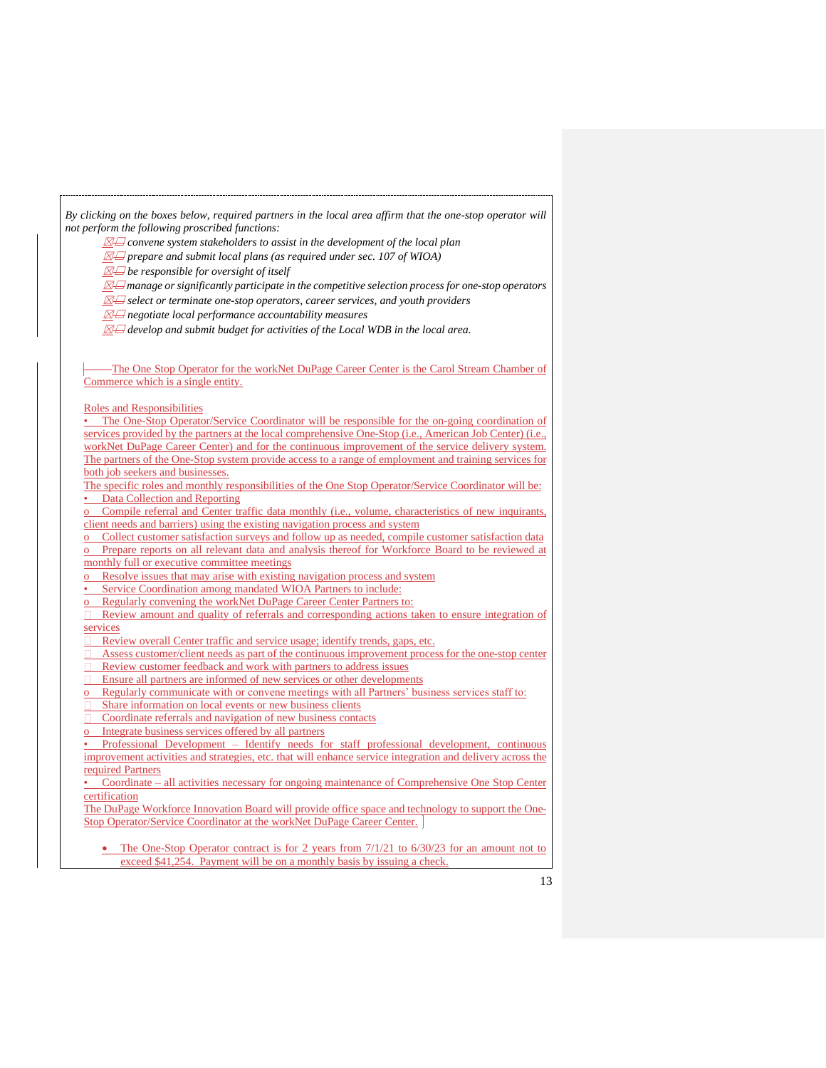*By clicking on the boxes below, required partners in the local area affirm that the one-stop operator will not perform the following proscribed functions:* 

☒☐ *convene system stakeholders to assist in the development of the local plan*

 $\mathbb{Z}\boxminus$  prepare and submit local plans (as required under sec. 107 of WIOA)

☒☐ *be responsible for oversight of itself*

☒☐ *manage or significantly participate in the competitive selection process for one-stop operators*

☒☐ *select or terminate one-stop operators, career services, and youth providers*

☒☐ *negotiate local performance accountability measures*

☒☐ *develop and submit budget for activities of the Local WDB in the local area.*

The One Stop Operator for the workNet DuPage Career Center is the Carol Stream Chamber of Commerce which is a single entity.

Roles and Responsibilities

The One-Stop Operator/Service Coordinator will be responsible for the on-going coordination of services provided by the partners at the local comprehensive One-Stop (i.e., American Job Center) (i.e., workNet DuPage Career Center) and for the continuous improvement of the service delivery system. The partners of the One-Stop system provide access to a range of employment and training services for both job seekers and businesses.

The specific roles and monthly responsibilities of the One Stop Operator/Service Coordinator will be: Data Collection and Reporting

Compile referral and Center traffic data monthly (i.e., volume, characteristics of new inquirants, client needs and barriers) using the existing navigation process and system

o Collect customer satisfaction surveys and follow up as needed, compile customer satisfaction data o Prepare reports on all relevant data and analysis thereof for Workforce Board to be reviewed at monthly full or executive committee meetings

Resolve issues that may arise with existing navigation process and system

Service Coordination among mandated WIOA Partners to include:

o Regularly convening the workNet DuPage Career Center Partners to:

Review amount and quality of referrals and corresponding actions taken to ensure integration of services

Review overall Center traffic and service usage; identify trends, gaps, etc.

Assess customer/client needs as part of the continuous improvement process for the one-stop center Review customer feedback and work with partners to address issues

Ensure all partners are informed of new services or other developments

o Regularly communicate with or convene meetings with all Partners' business services staff to:

Share information on local events or new business clients

Coordinate referrals and navigation of new business contacts

Integrate business services offered by all partners

• Professional Development – Identify needs for staff professional development, continuous improvement activities and strategies, etc. that will enhance service integration and delivery across the required Partners

• Coordinate – all activities necessary for ongoing maintenance of Comprehensive One Stop Center certification

The DuPage Workforce Innovation Board will provide office space and technology to support the One-Stop Operator/Service Coordinator at the workNet DuPage Career Center.

• The One-Stop Operator contract is for 2 years from 7/1/21 to 6/30/23 for an amount not to exceed \$41,254. Payment will be on a monthly basis by issuing a check.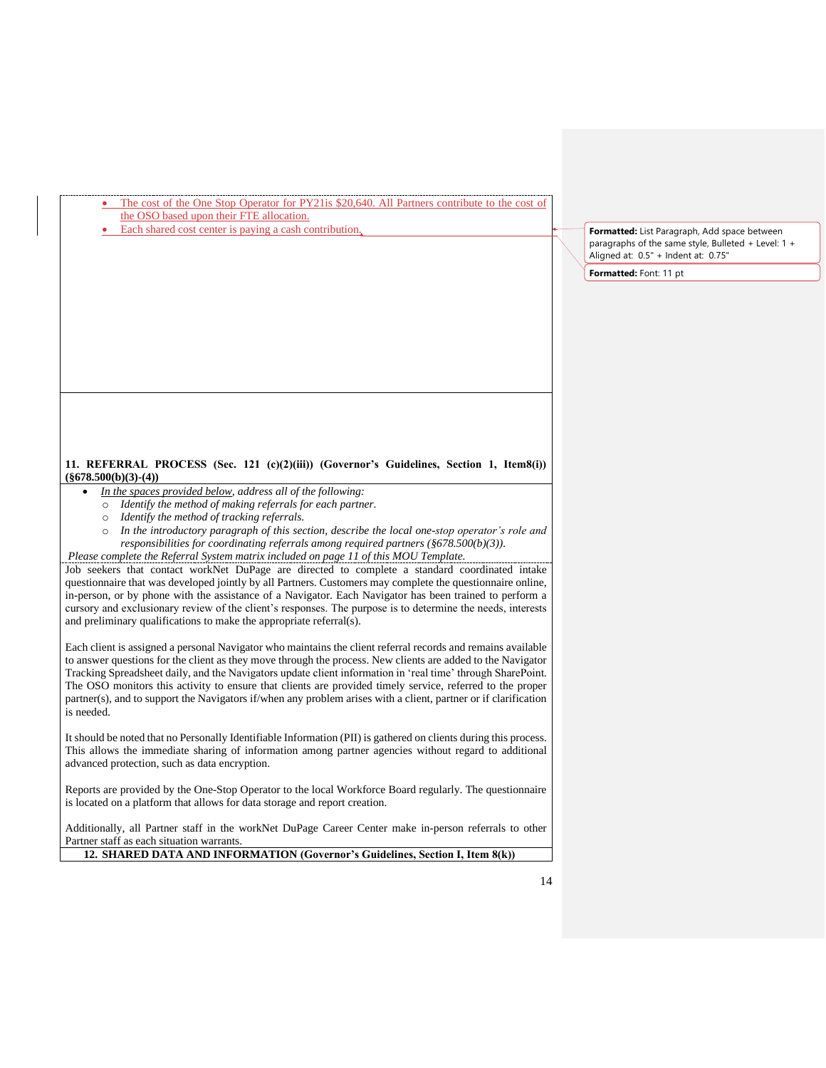| The cost of the One Stop Operator for PY21 is \$20.640. All Partners contribute to the cost of |  |
|------------------------------------------------------------------------------------------------|--|
| the OSO based upon their FTE allocation.                                                       |  |

Each shared cost center is paying a cash contribution.

**Formatted:** List Paragraph, Add space between paragraphs of the same style, Bulleted + Level: 1 + Aligned at: 0.5" + Indent at: 0.75"

**Formatted:** Font: 11 pt

### **11. REFERRAL PROCESS (Sec. 121 (c)(2)(iii)) (Governor's Guidelines, Section 1, Item8(i)) (§678.500(b)(3)-(4))**

- *In the spaces provided below, address all of the following:*
	- o *Identify the method of making referrals for each partner.*
	- o *Identify the method of tracking referrals.*
	- o *In the introductory paragraph of this section, describe the local one-stop operator's role and responsibilities for coordinating referrals among required partners (§678.500(b)(3)).*
- *Please complete the Referral System matrix included on page 11 of this MOU Template.*

Job seekers that contact workNet DuPage are directed to complete a standard coordinated intake questionnaire that was developed jointly by all Partners. Customers may complete the questionnaire online, in-person, or by phone with the assistance of a Navigator. Each Navigator has been trained to perform a cursory and exclusionary review of the client's responses. The purpose is to determine the needs, interests and preliminary qualifications to make the appropriate referral(s).

Each client is assigned a personal Navigator who maintains the client referral records and remains available to answer questions for the client as they move through the process. New clients are added to the Navigator Tracking Spreadsheet daily, and the Navigators update client information in 'real time' through SharePoint. The OSO monitors this activity to ensure that clients are provided timely service, referred to the proper partner(s), and to support the Navigators if/when any problem arises with a client, partner or if clarification is needed.

It should be noted that no Personally Identifiable Information (PII) is gathered on clients during this process. This allows the immediate sharing of information among partner agencies without regard to additional advanced protection, such as data encryption.

Reports are provided by the One-Stop Operator to the local Workforce Board regularly. The questionnaire is located on a platform that allows for data storage and report creation.

Additionally, all Partner staff in the workNet DuPage Career Center make in-person referrals to other Partner staff as each situation warrants.

**12. SHARED DATA AND INFORMATION (Governor's Guidelines, Section I, Item 8(k))**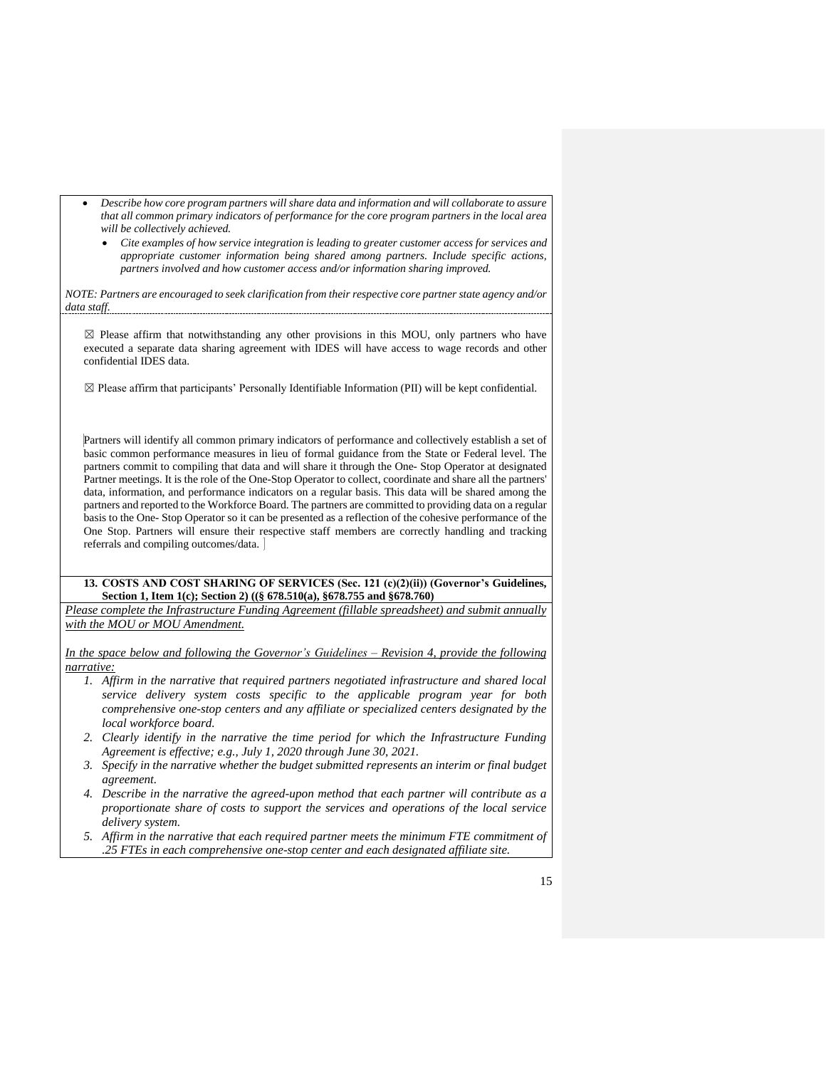- *Describe how core program partners will share data and information and will collaborate to assure that all common primary indicators of performance for the core program partners in the local area will be collectively achieved.*
	- *Cite examples of how service integration is leading to greater customer access for services and appropriate customer information being shared among partners. Include specific actions, partners involved and how customer access and/or information sharing improved.*

*NOTE: Partners are encouraged to seek clarification from their respective core partner state agency and/or data staff.*

 $\boxtimes$  Please affirm that notwithstanding any other provisions in this MOU, only partners who have executed a separate data sharing agreement with IDES will have access to wage records and other confidential IDES data.

 $\boxtimes$  Please affirm that participants' Personally Identifiable Information (PII) will be kept confidential.

Partners will identify all common primary indicators of performance and collectively establish a set of basic common performance measures in lieu of formal guidance from the State or Federal level. The partners commit to compiling that data and will share it through the One- Stop Operator at designated Partner meetings. It is the role of the One-Stop Operator to collect, coordinate and share all the partners' data, information, and performance indicators on a regular basis. This data will be shared among the partners and reported to the Workforce Board. The partners are committed to providing data on a regular basis to the One- Stop Operator so it can be presented as a reflection of the cohesive performance of the One Stop. Partners will ensure their respective staff members are correctly handling and tracking referrals and compiling outcomes/data.

#### **13. COSTS AND COST SHARING OF SERVICES (Sec. 121 (c)(2)(ii)) (Governor's Guidelines, Section 1, Item 1(c); Section 2) ((§ 678.510(a), §678.755 and §678.760)**

*Please complete the Infrastructure Funding Agreement (fillable spreadsheet) and submit annually with the MOU or MOU Amendment.* 

*In the space below and following the Governor's Guidelines – Revision 4, provide the following narrative:*

- *1. Affirm in the narrative that required partners negotiated infrastructure and shared local service delivery system costs specific to the applicable program year for both comprehensive one-stop centers and any affiliate or specialized centers designated by the local workforce board.*
- *2. Clearly identify in the narrative the time period for which the Infrastructure Funding Agreement is effective; e.g., July 1, 2020 through June 30, 2021.*
- *3. Specify in the narrative whether the budget submitted represents an interim or final budget agreement.*
- *4. Describe in the narrative the agreed-upon method that each partner will contribute as a proportionate share of costs to support the services and operations of the local service delivery system.*
- *5. Affirm in the narrative that each required partner meets the minimum FTE commitment of .25 FTEs in each comprehensive one-stop center and each designated affiliate site.*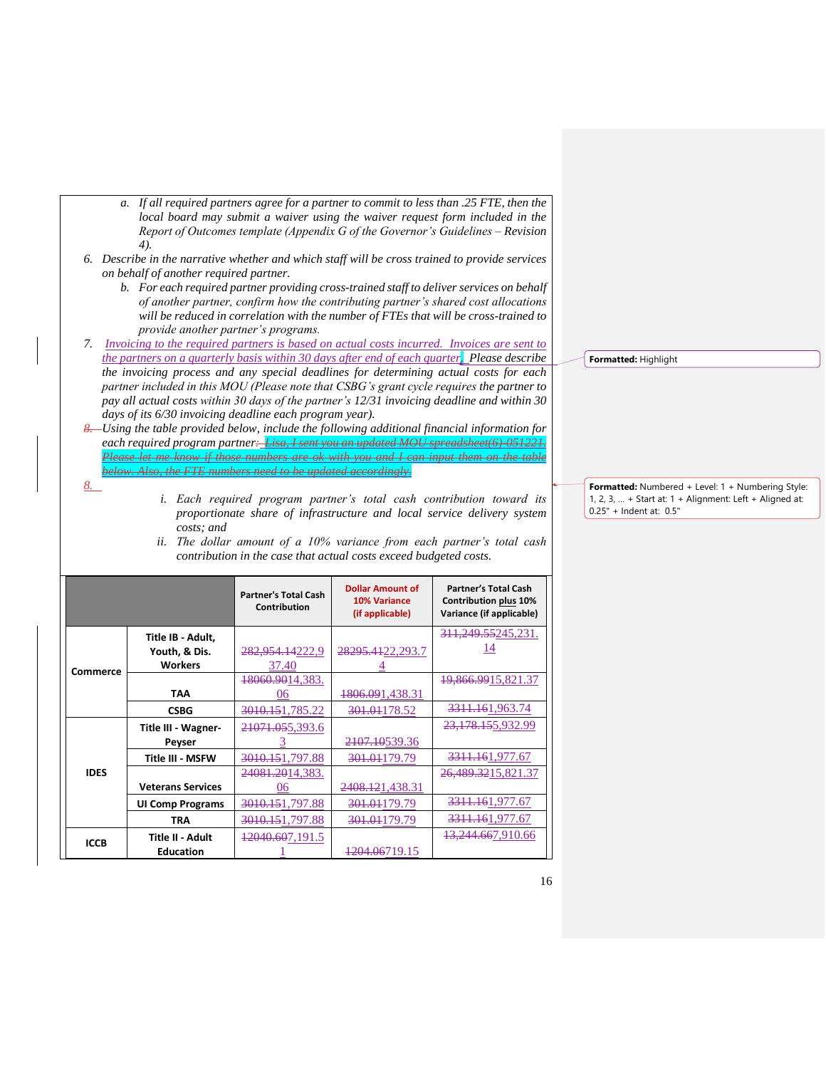- *a. If all required partners agree for a partner to commit to less than .25 FTE, then the local board may submit a waiver using the waiver request form included in the Report of Outcomes template (Appendix G of the Governor's Guidelines – Revision 4).*
- *6. Describe in the narrative whether and which staff will be cross trained to provide services on behalf of another required partner.*
	- *b. For each required partner providing cross-trained staff to deliver services on behalf of another partner, confirm how the contributing partner's shared cost allocations will be reduced in correlation with the number of FTEs that will be cross-trained to provide another partner's programs.*
- *7. Invoicing to the required partners is based on actual costs incurred. Invoices are sent to the partners on a quarterly basis within 30 days after end of each quarter. Please describe the invoicing process and any special deadlines for determining actual costs for each partner included in this MOU (Please note that CSBG's grant cycle requires the partner to pay all actual costs within 30 days of the partner's 12/31 invoicing deadline and within 30 days of its 6/30 invoicing deadline each program year).*
- *8. Using the table provided below, include the following additional financial information for each required program partner: Lisa, I sent you an updated MOU spreadsheet(6)-051221. Please let me know if those numbers are ok with you and I can input them on the table below. Also, the FTE numbers need to be updated accordingly.*

*8.*

- *i. Each required program partner's total cash contribution toward its proportionate share of infrastructure and local service delivery system costs; and*
- **Partner's Total Cash Contribution Dollar Amount of 10% Variance (if applicable) Partner's Total Cash Contribution plus 10% Variance (if applicable) Commerce Title IB - Adult, Youth, & Dis. Workers** 282,954.14222,9 37.40 28295.4122,293.7 4 311,249.55245,231. 14 **TAA** 18060.9014,383. 06 1806.091,438.31 19,866.9915,821.37 **CSBG** 3010.151,785.22 301.01178.52 3311.161,963.74 **IDES Title III - Wagner-Peyser** 21071.055,393.6 3 2107.10539.36 23,178.155,932.99 **Title III - MSFW** 3010.151,797.88 301.01179.79 3311.161,977.67 **Veterans Services** 24081.2014,383. 06 2408.121,438.31 489,3215,821.37 **UI Comp Programs** 3010.151,797.88 301.01179.79 3311.161,977.67<br>TRA 3010.151.797.88 301.01179.79 3311.161.977.67 **TRA** 3010.151,797.88 301.01179.79 **ICCB Title II - Adult Education** 12040.607,191.5 1 1204.06719.15 13,244.667,910.66
- *ii. The dollar amount of a 10% variance from each partner's total cash contribution in the case that actual costs exceed budgeted costs.*

**Formatted:** Highlight

**Formatted:** Numbered + Level: 1 + Numbering Style: 1, 2, 3, … + Start at: 1 + Alignment: Left + Aligned at: 0.25" + Indent at: 0.5"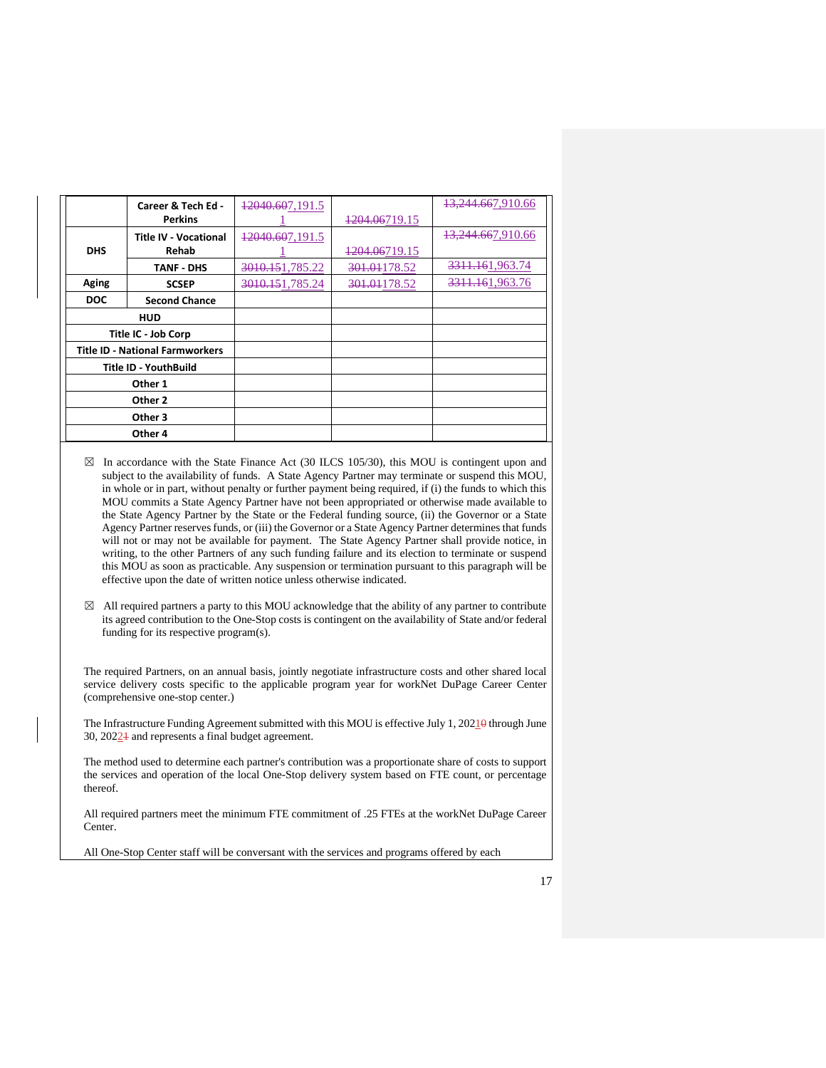|              | Career & Tech Ed -                     | 12040.607,191.5 |                           | <del>13,244.66</del> 7,910.66 |
|--------------|----------------------------------------|-----------------|---------------------------|-------------------------------|
|              | <b>Perkins</b>                         |                 | 1204.06719.15             |                               |
|              | <b>Title IV - Vocational</b>           | 12040.607,191.5 |                           | 13,244.667,910.66             |
| <b>DHS</b>   | Rehab                                  |                 | <del>1204.06</del> 719.15 |                               |
|              | <b>TANF - DHS</b>                      | 3010.151,785.22 | 301.01178.52              | 3311.161,963.74               |
| <b>Aging</b> | <b>SCSEP</b>                           | 3010.151,785.24 | 301.01178.52              | 3311.161,963.76               |
| <b>DOC</b>   | <b>Second Chance</b>                   |                 |                           |                               |
|              | <b>HUD</b>                             |                 |                           |                               |
|              | Title IC - Job Corp                    |                 |                           |                               |
|              | <b>Title ID - National Farmworkers</b> |                 |                           |                               |
|              | Title ID - YouthBuild                  |                 |                           |                               |
|              | Other 1                                |                 |                           |                               |
|              | Other 2                                |                 |                           |                               |
|              | Other 3                                |                 |                           |                               |
|              | Other 4                                |                 |                           |                               |

- $\boxtimes$  In accordance with the State Finance Act (30 ILCS 105/30), this MOU is contingent upon and subject to the availability of funds. A State Agency Partner may terminate or suspend this MOU, in whole or in part, without penalty or further payment being required, if (i) the funds to which this MOU commits a State Agency Partner have not been appropriated or otherwise made available to the State Agency Partner by the State or the Federal funding source, (ii) the Governor or a State Agency Partner reserves funds, or (iii) the Governor or a State Agency Partner determines that funds will not or may not be available for payment. The State Agency Partner shall provide notice, in writing, to the other Partners of any such funding failure and its election to terminate or suspend this MOU as soon as practicable. Any suspension or termination pursuant to this paragraph will be effective upon the date of written notice unless otherwise indicated.
- $\boxtimes$  All required partners a party to this MOU acknowledge that the ability of any partner to contribute its agreed contribution to the One-Stop costs is contingent on the availability of State and/or federal funding for its respective program(s).

The required Partners, on an annual basis, jointly negotiate infrastructure costs and other shared local service delivery costs specific to the applicable program year for workNet DuPage Career Center (comprehensive one-stop center.)

The Infrastructure Funding Agreement submitted with this MOU is effective July 1, 20210 through June 30, 20221 and represents a final budget agreement.

The method used to determine each partner's contribution was a proportionate share of costs to support the services and operation of the local One-Stop delivery system based on FTE count, or percentage thereof.

All required partners meet the minimum FTE commitment of .25 FTEs at the workNet DuPage Career Center.

All One-Stop Center staff will be conversant with the services and programs offered by each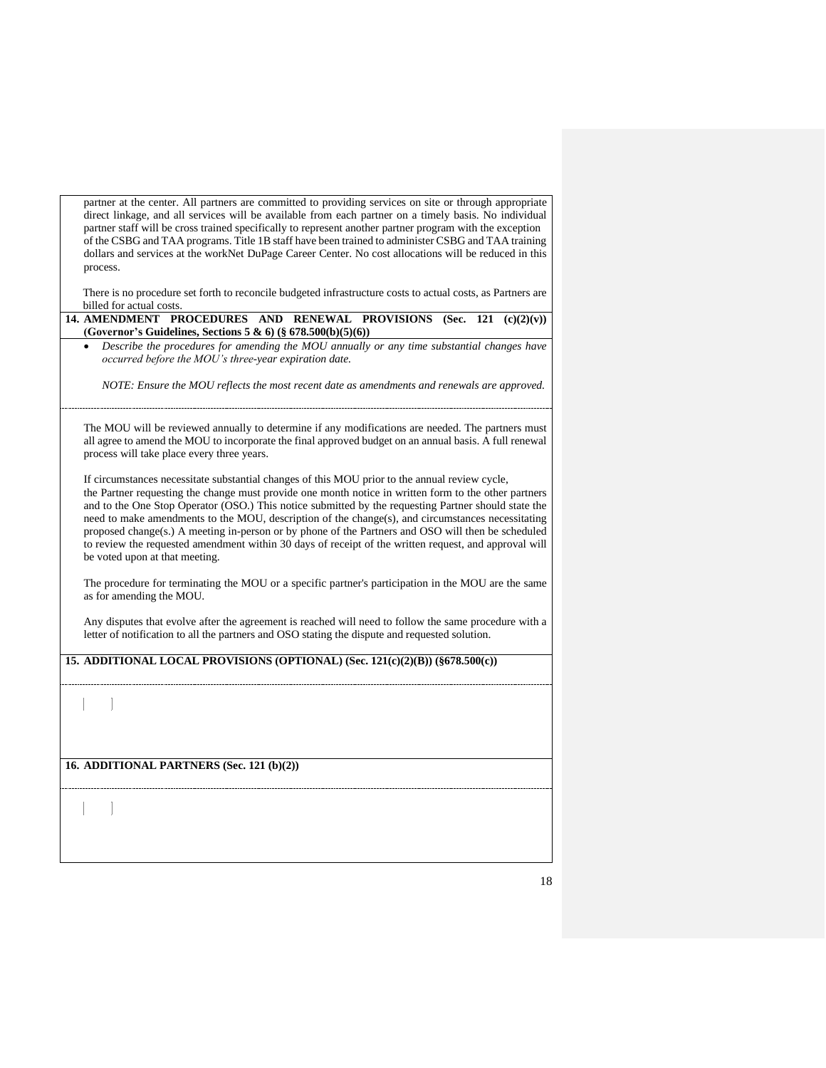partner at the center. All partners are committed to providing services on site or through appropriate direct linkage, and all services will be available from each partner on a timely basis. No individual partner staff will be cross trained specifically to represent another partner program with the exception of the CSBG and TAA programs. Title 1B staff have been trained to administer CSBG and TAA training dollars and services at the workNet DuPage Career Center. No cost allocations will be reduced in this process.

There is no procedure set forth to reconcile budgeted infrastructure costs to actual costs, as Partners are billed for actual costs.

**14. AMENDMENT PROCEDURES AND RENEWAL PROVISIONS (Sec. 121 (c)(2)(v)) (Governor's Guidelines, Sections 5 & 6) (§ 678.500(b)(5)(6))**  • *Describe the procedures for amending the MOU annually or any time substantial changes have occurred before the MOU's three-year expiration date.*

*NOTE: Ensure the MOU reflects the most recent date as amendments and renewals are approved.*

The MOU will be reviewed annually to determine if any modifications are needed. The partners must all agree to amend the MOU to incorporate the final approved budget on an annual basis. A full renewal process will take place every three years.

If circumstances necessitate substantial changes of this MOU prior to the annual review cycle, the Partner requesting the change must provide one month notice in written form to the other partners and to the One Stop Operator (OSO.) This notice submitted by the requesting Partner should state the need to make amendments to the MOU, description of the change(s), and circumstances necessitating proposed change(s.) A meeting in-person or by phone of the Partners and OSO will then be scheduled to review the requested amendment within 30 days of receipt of the written request, and approval will be voted upon at that meeting.

The procedure for terminating the MOU or a specific partner's participation in the MOU are the same as for amending the MOU.

Any disputes that evolve after the agreement is reached will need to follow the same procedure with a letter of notification to all the partners and OSO stating the dispute and requested solution.

**15. ADDITIONAL LOCAL PROVISIONS (OPTIONAL) (Sec. 121(c)(2)(B)) (§678.500(c))**

**16. ADDITIONAL PARTNERS (Sec. 121 (b)(2))**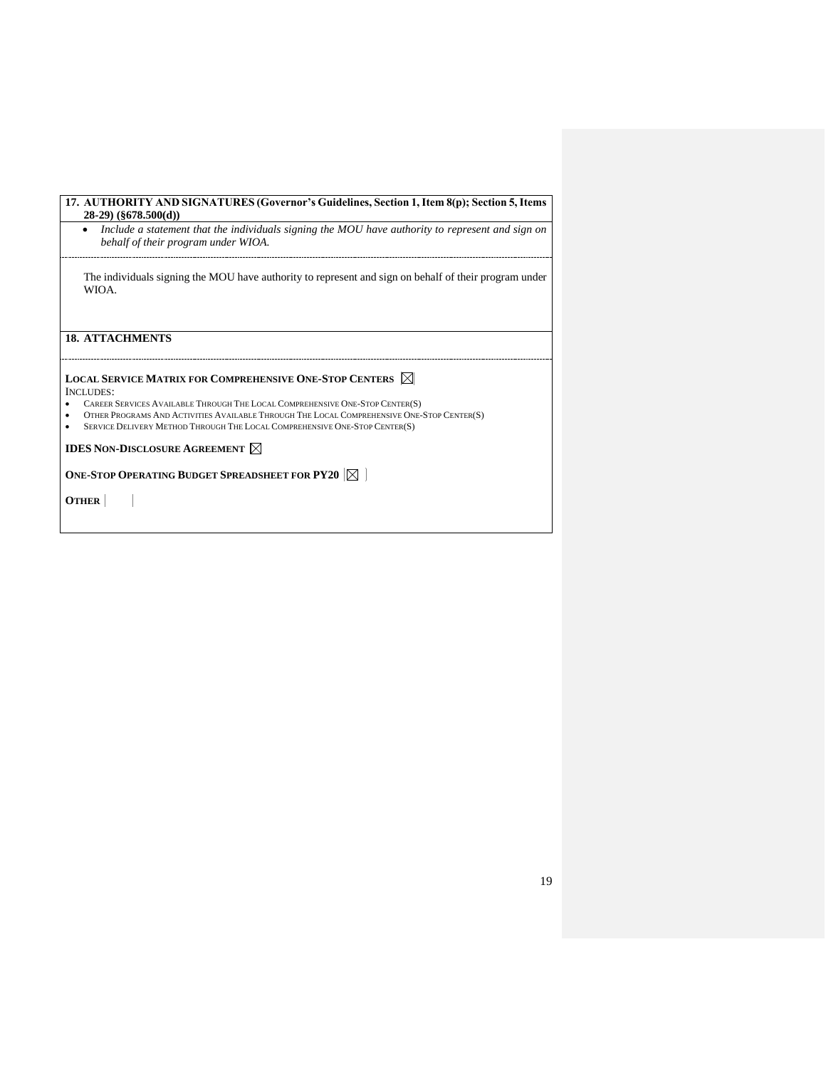| 17. AUTHORITY AND SIGNATURES (Governor's Guidelines, Section 1, Item 8(p); Section 5, Items<br>$28-29$ (§678.500(d))                                                                                                                                                                                                                                                     |
|--------------------------------------------------------------------------------------------------------------------------------------------------------------------------------------------------------------------------------------------------------------------------------------------------------------------------------------------------------------------------|
| Include a statement that the individuals signing the MOU have authority to represent and sign on<br>behalf of their program under WIOA.                                                                                                                                                                                                                                  |
| The individuals signing the MOU have authority to represent and sign on behalf of their program under<br>WIOA.                                                                                                                                                                                                                                                           |
| <b>18. ATTACHMENTS</b>                                                                                                                                                                                                                                                                                                                                                   |
| <b>LOCAL SERVICE MATRIX FOR COMPREHENSIVE ONE-STOP CENTERS <math>\boxtimes</math></b><br>INCLUDES:<br>CAREER SERVICES AVAILABLE THROUGH THE LOCAL COMPREHENSIVE ONE-STOP CENTER(S)<br>OTHER PROGRAMS AND ACTIVITIES AVAILABLE THROUGH THE LOCAL COMPREHENSIVE ONE-STOP CENTER(S)<br>٠<br>SERVICE DELIVERY METHOD THROUGH THE LOCAL COMPREHENSIVE ONE-STOP CENTER(S)<br>٠ |
| <b>IDES NON-DISCLOSURE AGREEMENT <math>\boxtimes</math></b>                                                                                                                                                                                                                                                                                                              |
| ONE-STOP OPERATING BUDGET SPREADSHEET FOR PY20 $ \boxtimes $                                                                                                                                                                                                                                                                                                             |
| <b>OTHER</b>                                                                                                                                                                                                                                                                                                                                                             |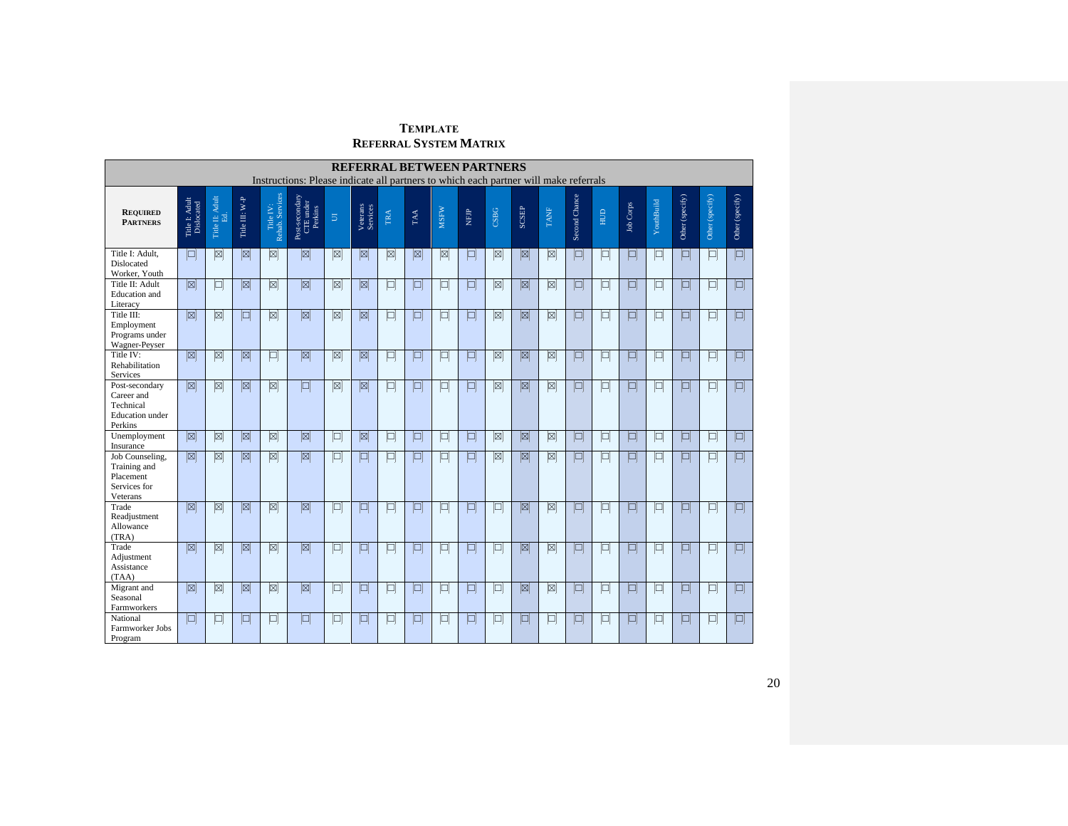# **TEMPLATE REFERRAL SYSTEM MATRIX**

|                                                                                | <b>REFERRAL BETWEEN PARTNERS</b><br>Instructions: Please indicate all partners to which each partner will make referrals |                          |                         |                              |                                        |                        |                         |        |        |             |            |                        |                         |                        |               |        |                  |            |                 |                 |                 |
|--------------------------------------------------------------------------------|--------------------------------------------------------------------------------------------------------------------------|--------------------------|-------------------------|------------------------------|----------------------------------------|------------------------|-------------------------|--------|--------|-------------|------------|------------------------|-------------------------|------------------------|---------------|--------|------------------|------------|-----------------|-----------------|-----------------|
|                                                                                |                                                                                                                          |                          |                         |                              |                                        |                        |                         |        |        |             |            |                        |                         |                        |               |        |                  |            |                 |                 |                 |
| <b>REQUIRED</b><br><b>PARTNERS</b>                                             | Title I: Adult<br>Dislocated                                                                                             | Title II: Adult Ed. $\,$ | Title III: W-P          | Title IV:<br>Rehab. Services | Post-secondary<br>CTE under<br>Perkins | $\Xi$                  | Veterans<br>Services    | TRA    | TAA    | <b>MSFW</b> | <b>RHN</b> | CSBG                   | <b>SCSEP</b>            | TANF                   | Second Chance | HUD    | <b>Job Corps</b> | YouthBuild | Other (specify) | Other (specify) | Other (specify) |
| Title I: Adult.<br><b>Dislocated</b><br>Worker, Youth                          | $\Box$                                                                                                                   | Ø                        | ⊠                       | ⊠                            | ⊠                                      | ⊠                      | ⊠                       | Ø      | ⊠      | ⊠           | $\Box$     | ⊠                      | ⊠                       | Ø                      | $\Box$        | $\Box$ | $\Box$           | 口          | $\blacksquare$  | $\Box$          | $\Box$          |
| Title II: Adult<br><b>Education</b> and<br>Literacy                            | ⊠                                                                                                                        | $\Box$                   | ⊠                       | ø                            | ⊠                                      | ⊠                      | ⊠                       | $\Box$ | $\Box$ | 口           | $\Box$     | ⊠                      | ⊠                       | ⊠                      | $\Box$        | $\Box$ | $\Box$           | $\Box$     | $\Box$          | $\Box$          | $\Box$          |
| Title III:<br>Employment<br>Programs under<br>Wagner-Peyser                    | $\boxed{\boxtimes}$                                                                                                      | ⊠                        | $\blacksquare$          | Ø                            | ⊠                                      | ⊠                      | ⊠                       | $\Box$ | $\Box$ | 回           | Q          | ⊠                      | ⊠                       | ⊠                      | $\Box$        | 回      | $\Box$           | 口          | $\Box$          | $\Box$          | $\Box$          |
| Title IV:<br>Rehabilitation<br>Services                                        | ⊠                                                                                                                        | Ø                        | ⊠                       | $\Box$                       | ⊠                                      | ⊠                      | ⊠                       | $\Box$ | O      | 回           | p          | Ø                      | ⊠                       | Ø                      | $\Box$        | $\Box$ | ▣                | $\Box$     | p               | $\Box$          | $\Box$          |
| Post-secondary<br>Career and<br>Technical<br><b>Education</b> under<br>Perkins | $\overline{\mathbb{Z}}$                                                                                                  | $\overline{\boxtimes}$   | $\overline{\mathbb{Z}}$ | $\overline{\boxtimes}$       | $\Box$                                 | $\overline{\boxtimes}$ | $\overline{\mathbb{Z}}$ | $\Box$ | O      | 回           | $\Box$     | $\overline{\boxtimes}$ | $\overline{\mathbb{Z}}$ | $\overline{\boxtimes}$ | $\Box$        | 回      | $\Box$           | $\Box$     | $\Box$          | $\Box$          | $\Box$          |
| Unemployment<br>Insurance                                                      | ⊠                                                                                                                        | ⊠                        | ⊠                       | ⊠                            | ⊠                                      | Ξ                      | ⊠                       | $\Box$ | $\Box$ | $\Box$      | Þ          | ⊠                      | ⊠                       | ⊠                      | $\Box$        | $\Box$ | $\blacksquare$   | $\Box$     | $\Box$          | $\Box$          | $\Box$          |
| Job Counseling,<br>Training and<br>Placement<br>Services for<br>Veterans       | $\overline{\mathbb{Z}}$                                                                                                  | $\overline{\boxtimes}$   | $\overline{\mathbb{Z}}$ | $\overline{\boxtimes}$       | $\boxed{\boxtimes}$                    | $\Box$                 | $\Box$                  | $\Box$ | $\Box$ | $\Box$      | $\Box$     | $\boxtimes$            | $\boxed{\boxtimes}$     | $\boxtimes$            | $\Box$        | 口      | $\Box$           | $\Box$     | $\Box$          | $\Box$          | $\Box$          |
| Trade<br>Readiustment<br>Allowance<br>(TRA)                                    | ⊠                                                                                                                        | Ø                        | 図                       | ⊠                            | $\boxed{\boxtimes}$                    | $\Box$                 | $\Box$                  | $\Box$ | $\Box$ | $\Box$      | O          | $\Box$                 | ⊠                       | ⊠                      | $\Box$        | $\Box$ | $\Box$           | $\Box$     | $\Box$          | $\Box$          | $\Box$          |
| Trade<br>Adjustment<br>Assistance<br>(TAA)                                     | ⊠                                                                                                                        | ⊠                        | ⊠                       | ⊠                            | $\boxed{\boxtimes}$                    | Ξ                      | $\Box$                  | $\Box$ | O      | $\Box$      | O          | $\Box$                 | $\boxtimes$             | ⊠                      | $\Box$        | $\Box$ | $\Box$           | $\Box$     | $\Box$          | $\Box$          | $\Box$          |
| Migrant and<br>Seasonal<br>Farmworkers                                         | ⊠                                                                                                                        | Ø                        | ⊠                       | 0                            | ⊠                                      | $\Box$                 | $\Box$                  | $\Box$ | $\Box$ | $\Box$      | $\Box$     | $\Box$                 | ⊠                       | ⊠                      | O             | $\Box$ | $\Box$           | $\Box$     | $\Box$          | $\Box$          | $\Box$          |
| National<br>Farmworker Jobs<br>Program                                         | $\Box$                                                                                                                   | 口                        | o                       | $\Box$                       | $\Box$                                 | $\Box$                 | $\Box$                  | $\Box$ | $\Box$ | $\Box$      | $\Box$     | $\Box$                 | $\Box$                  | $\Box$                 | $\Box$        | $\Box$ | $\Box$           | $\Box$     | $\Box$          | $\Box$          | $\Box$          |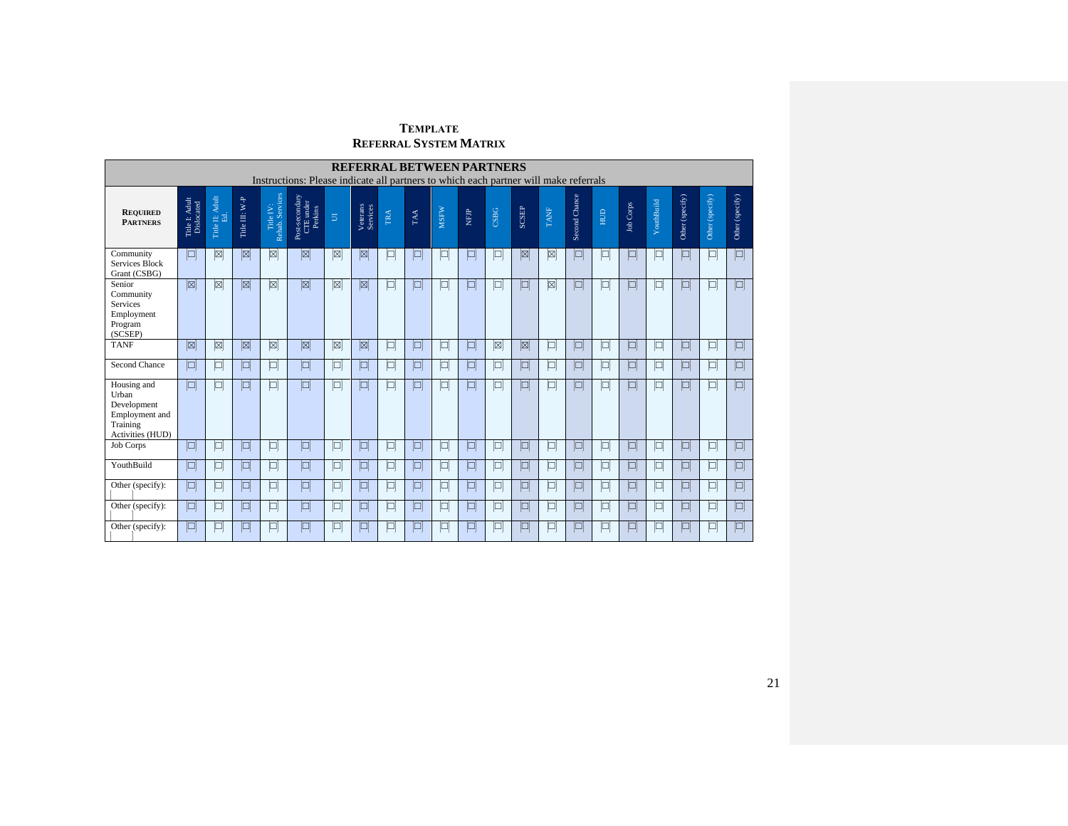# **TEMPLATE REFERRAL SYSTEM MATRIX**

|                                                                                       | <b>REFERRAL BETWEEN PARTNERS</b><br>Instructions: Please indicate all partners to which each partner will make referrals |                           |                |                              |                                        |        |                      |        |        |             |        |             |               |             |               |                |                  |            |                                              |                 |                 |
|---------------------------------------------------------------------------------------|--------------------------------------------------------------------------------------------------------------------------|---------------------------|----------------|------------------------------|----------------------------------------|--------|----------------------|--------|--------|-------------|--------|-------------|---------------|-------------|---------------|----------------|------------------|------------|----------------------------------------------|-----------------|-----------------|
| <b>REQUIRED</b><br><b>PARTNERS</b>                                                    | Title I: Adult<br>Dislocated                                                                                             | II: Adult<br>Ed.<br>Title | Title III: W-P | Title IV:<br>Rehab. Services | Post-secondary<br>CTE under<br>Perkins | $\Xi$  | Veterans<br>Services | TRA    | TAA    | <b>MSFW</b> | NFIP   | CSBG        | SCSEP         | <b>TANF</b> | Second Chance | НUD            | <b>Job Corps</b> | YouthBuild | $\left( \text{specificy} \right)$<br>Other ( | Other (specify) | Other (specify) |
| Community<br><b>Services Block</b><br>Grant (CSBG)                                    | $\Box$                                                                                                                   | ⊠                         | ⊠              | ⊠                            | ⊠                                      | ⊠      | ⊠                    | $\Box$ | $\Box$ | $\Box$      | $\Box$ | $\Box$      | $[\boxtimes]$ | ⊠           | $\Box$        | $\Box$         | $\blacksquare$   | $\Box$     | I۹                                           | $\Box$          | $\Box$          |
| Senior<br>Community<br>Services<br>Employment<br>Program<br>(SCSEP)                   | ⊠                                                                                                                        | ⊠                         | ⊠              | ⊠                            | ⊠                                      | ⊠      | 図                    | $\Box$ | $\Box$ | $\Box$      | $\Box$ | $\Box$      | $\Box$        | ⊠           | $\Box$        | $\Box$         | $\Box$           | $\Box$     | $\Box$                                       | $\Box$          | $\Box$          |
| <b>TANF</b>                                                                           | ⊠                                                                                                                        | ⊠                         | $\boxtimes$    | Ø                            | ⊠                                      | Ø      | ⊠                    | $\Box$ | $\Box$ | $\Box$      | $\Box$ | $\boxtimes$ | ⊠             | $\Box$      | $\Box$        | $\Box$         | $\Box$           | $\Box$     | $\blacksquare$                               | $\Box$          | $\Box$          |
| <b>Second Chance</b>                                                                  | $\Box$                                                                                                                   | $\Box$                    | $\Box$         | □                            | $\Box$                                 | 口      | $\Box$               | $\Box$ | $\Box$ | $\Box$      | $\Box$ | $\Box$      | $\Box$        | $\Box$      | $\Box$        | $\Box$         | $\Box$           | $\Box$     | $\blacksquare$                               | $\Box$          | $\Box$          |
| Housing and<br>Urban<br>Development<br>Employment and<br>Training<br>Activities (HUD) | $\Box$                                                                                                                   | $\Box$                    | $\Box$         | 口                            | $\Box$                                 | $\Box$ | $\Box$               | $\Box$ | $\Box$ | $\Box$      | $\Box$ | □           | $\Box$        | $\Box$      | $\Box$        | $\Box$         | $\Box$           | $\Box$     | $\Box$                                       | $\Box$          | $\Box$          |
| Job Corps                                                                             | $\Box$                                                                                                                   | $\Box$                    | $\Box$         | $\Box$                       | $\Box$                                 | $\Box$ | O                    | $\Box$ | $\Box$ | $\Box$      | $\Box$ | $\Box$      | $\Box$        | $\Box$      | $\Box$        | $\Box$         | $\Box$           | $\Box$     | $\Box$                                       | $\Box$          | $\Box$          |
| YouthBuild                                                                            | $\Box$                                                                                                                   | $\Box$                    | $\Box$         | Þ                            | $\Box$                                 | 口      | $\Box$               | $\Box$ | $\Box$ | $\Box$      | $\Box$ | $\Box$      | $\Box$        | $\Box$      | $\Box$        | $\boxed{\Box}$ | $\Box$           | $\Box$     | $\Box$                                       | $\Box$          | $\Box$          |
| Other (specify):                                                                      | $\Box$                                                                                                                   | $\Box$                    | $\Box$         | p                            | $\Box$                                 | 囘      | $\blacksquare$       | Ц      | $\Box$ | $\Box$      | $\Box$ | $\Box$      | $\Box$        | $\Box$      | $\Box$        | $\Box$         | $\blacksquare$   | $\Box$     | $\Box$                                       | $\Box$          | $\Box$          |
| Other (specify):                                                                      | $\Box$                                                                                                                   | $\Box$                    | $\Box$         | $\Box$                       | O                                      | 口      | $\Box$               | $\Box$ | $\Box$ | $\Box$      | $\Box$ | $\Box$      | $\Box$        | $\Box$      | $\Box$        | $\Box$         | $\Box$           | O          | O                                            | $\Box$          | $\Box$          |
| Other (specify):                                                                      | $\Box$                                                                                                                   | $\Box$                    | $\Box$         | p                            | $\Box$                                 | $\Box$ | E                    | ц      | p      | $\Box$      | $\Box$ | $\Box$      | $\Box$        | $\Box$      | $\Box$        | $\Box$         | E                | $\Box$     | P                                            | $\Box$          | $\Box$          |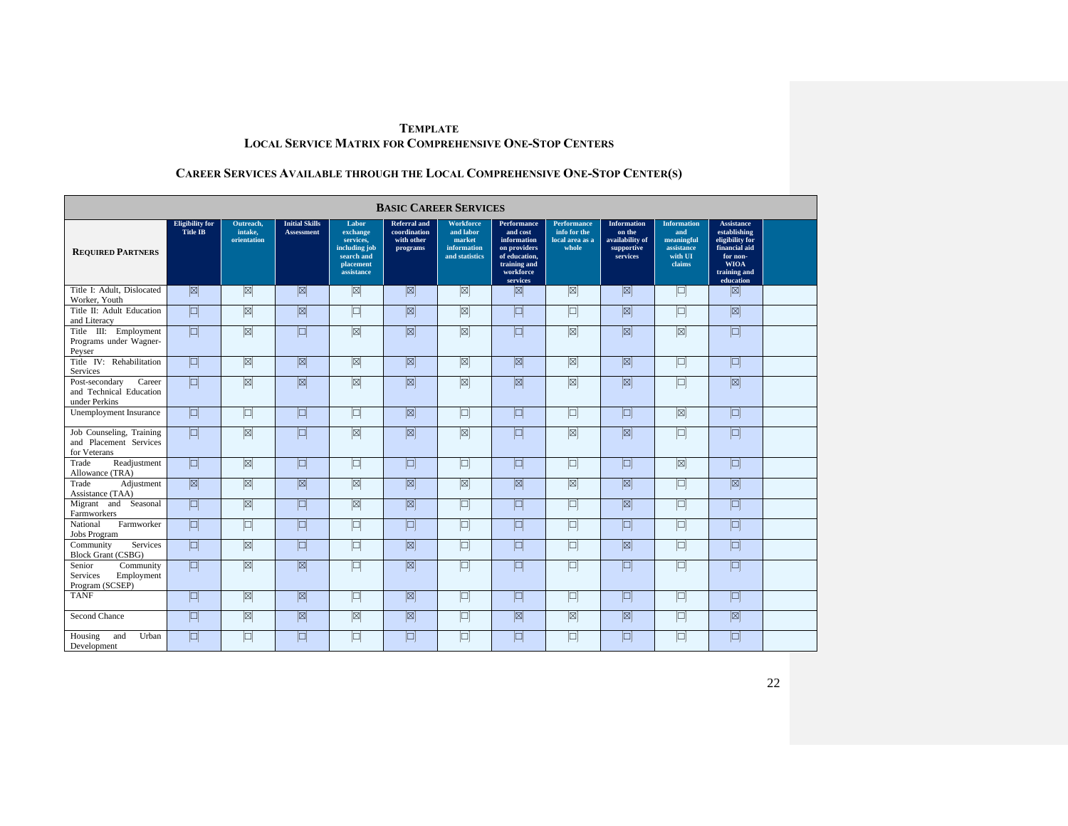# **CAREER SERVICES AVAILABLE THROUGH THE LOCAL COMPREHENSIVE ONE-STOP CENTER(S)**

|                                                                      | <b>BASIC CAREER SERVICES</b>              |                                     |                                            |                                                                                          |                                                               |                                                                          |                                                                                                                  |                                                                |                                                                           |                                                                            |                                                                                                                               |  |  |  |  |
|----------------------------------------------------------------------|-------------------------------------------|-------------------------------------|--------------------------------------------|------------------------------------------------------------------------------------------|---------------------------------------------------------------|--------------------------------------------------------------------------|------------------------------------------------------------------------------------------------------------------|----------------------------------------------------------------|---------------------------------------------------------------------------|----------------------------------------------------------------------------|-------------------------------------------------------------------------------------------------------------------------------|--|--|--|--|
| <b>REQUIRED PARTNERS</b>                                             | <b>Eligibility</b> for<br><b>Title IB</b> | Outreach,<br>intake.<br>orientation | <b>Initial Skills</b><br><b>Assessment</b> | Labor<br>exchange<br>services.<br>including job<br>search and<br>placement<br>assistance | <b>Referral</b> and<br>coordination<br>with other<br>programs | <b>Workforce</b><br>and labor<br>market<br>information<br>and statistics | Performance<br>and cost<br>information<br>on providers<br>of education,<br>training and<br>workforce<br>services | <b>Performance</b><br>info for the<br>local area as a<br>whole | <b>Information</b><br>on the<br>availability of<br>supportive<br>services | <b>Information</b><br>and<br>meaningful<br>assistance<br>with UI<br>claims | <b>Assistance</b><br>establishing<br>eligibility for<br>financial aid<br>for non-<br><b>WIOA</b><br>training and<br>education |  |  |  |  |
| Title I: Adult. Dislocated<br>Worker, Youth                          | 図                                         | ⊠                                   | 図                                          | ⊠                                                                                        | 図                                                             | ⊠                                                                        | 図                                                                                                                | Ø                                                              | 図                                                                         | $\Box$                                                                     | 図                                                                                                                             |  |  |  |  |
| Title II: Adult Education<br>and Literacy                            | $\Box$                                    | Ø                                   | $\mathbb{Z}$                               | $\Box$                                                                                   | 図                                                             | $\boxed{\boxtimes}$                                                      | $\Box$                                                                                                           | $\Box$                                                         | 図                                                                         | $\Box$                                                                     | $\boxed{\boxtimes}$                                                                                                           |  |  |  |  |
| Title III: Employment<br>Programs under Wagner-<br>Peyser            | $\Box$                                    | $[\boxtimes]$                       | p                                          | ⊠                                                                                        | 図                                                             | ⊠                                                                        | $\Box$                                                                                                           | $\boxed{\boxtimes}$                                            | 図                                                                         | $[\boxtimes]$                                                              | $\Box$                                                                                                                        |  |  |  |  |
| Title IV: Rehabilitation<br>Services                                 | $\Box$                                    | Ø                                   | $\mathbb{Z}$                               | $\boxed{\boxtimes}$                                                                      | $\boxed{\boxtimes}$                                           | ⊠                                                                        | $\boxed{\boxtimes}$                                                                                              | Ø                                                              | $\boxed{\boxtimes}$                                                       | $\Box$                                                                     | $\Box$                                                                                                                        |  |  |  |  |
| Career<br>Post-secondary<br>and Technical Education<br>under Perkins | $\Box$                                    | $\mathbb{\overline{M}}$             | $\overline{\mathbb{Z}}$                    | $\overline{\mathbb{Z}}$                                                                  | $\boxed{\boxtimes}$                                           | $\boxed{\boxtimes}$                                                      | $\boxed{\boxtimes}$                                                                                              | $\boxed{\boxtimes}$                                            | $\sqrt{2}$                                                                | $\Box$                                                                     | $\sqrt{2}$                                                                                                                    |  |  |  |  |
| Unemployment Insurance                                               | $\Box$                                    | $\Box$                              | 回                                          | 回                                                                                        | $\boxtimes$                                                   | $\boxed{\Box}$                                                           | $\Box$                                                                                                           | $\Box$                                                         | $\Box$                                                                    | $\boxtimes$                                                                | $\Box$                                                                                                                        |  |  |  |  |
| Job Counseling, Training<br>and Placement Services<br>for Veterans   | $\blacksquare$                            | $\boxed{\boxtimes}$                 | 回                                          | $\boxed{\boxtimes}$                                                                      | $\boxed{\boxtimes}$                                           | ⊠                                                                        | $\blacksquare$                                                                                                   | $\boxed{\boxtimes}$                                            | $\boxed{\boxtimes}$                                                       | $\Box$                                                                     | O                                                                                                                             |  |  |  |  |
| Readjustment<br>Trade<br>Allowance (TRA)                             | 回                                         | $\boxed{\boxtimes}$                 | $\Box$                                     | $\boxed{\Box}$                                                                           | $\Box$                                                        | $\boxed{\Box}$                                                           | $\Box$                                                                                                           | $\Box$                                                         | $\Box$                                                                    | $\boxed{\boxtimes}$                                                        | $\Box$                                                                                                                        |  |  |  |  |
| Trade<br>Adjustment<br>Assistance (TAA)                              | $\boxed{\boxtimes}$                       | Ø                                   | $\mathbb{Z}$                               | ⊠                                                                                        | $\boxed{\boxtimes}$                                           | ⊠                                                                        | $\boxed{\boxtimes}$                                                                                              | ⊠                                                              | $\boxed{\boxtimes}$                                                       | $\Box$                                                                     | $\boxed{\boxtimes}$                                                                                                           |  |  |  |  |
| Migrant and Seasonal<br>Farmworkers                                  | $\Box$                                    | $\boxtimes$                         | $\Box$                                     | $\mathbb{Z}$                                                                             | $\boxed{\boxtimes}$                                           | $\boxed{\Box}$                                                           | $\Box$                                                                                                           | $\Box$                                                         | $\boxtimes$                                                               | $\Box$                                                                     | $\Box$                                                                                                                        |  |  |  |  |
| Farmworker<br>National<br><b>Jobs Program</b>                        | $\Box$                                    | $\Box$                              | 问                                          | $\Box$                                                                                   | $\Box$                                                        | $\Box$                                                                   | $\Box$                                                                                                           | $\Box$                                                         | $\Box$                                                                    | $\Box$                                                                     | $\Box$                                                                                                                        |  |  |  |  |
| Services<br>Community<br><b>Block Grant (CSBG)</b>                   | O                                         | $\boxtimes$                         | 回                                          | $\boxed{\Box}$                                                                           | $\boxed{\boxtimes}$                                           | $\boxed{\Box}$                                                           | $\Box$                                                                                                           | $\Box$                                                         | $\overline{\mathbb{Z}}$                                                   | $\Box$                                                                     | $\Box$                                                                                                                        |  |  |  |  |
| Senior<br>Community<br>Services<br>Employment<br>Program (SCSEP)     | $\blacksquare$                            | $\boxed{\boxtimes}$                 | $\overline{\mathbb{Z}}$                    | $\Box$                                                                                   | $\boxed{\boxtimes}$                                           | $\Box$                                                                   | $\Box$                                                                                                           | $\Box$                                                         | $\Box$                                                                    | 囘                                                                          | $\Box$                                                                                                                        |  |  |  |  |
| <b>TANF</b>                                                          | $\Box$                                    | $\boxed{\boxtimes}$                 | $\overline{\mathbb{Z}}$                    | $\Box$                                                                                   | $\boxed{\boxtimes}$                                           | $\Box$                                                                   | $\Box$                                                                                                           | $\Box$                                                         | $\Box$                                                                    | $\Box$                                                                     | $\Box$                                                                                                                        |  |  |  |  |
| Second Chance                                                        | $\Box$                                    | Ø                                   | $\mathbb{Z}$                               | ⊠                                                                                        | $\boxed{\boxtimes}$                                           | 口                                                                        | $\boxed{\boxtimes}$                                                                                              | $\boxed{\boxtimes}$                                            | $\boxed{\boxtimes}$                                                       | $\Box$                                                                     | ⊠                                                                                                                             |  |  |  |  |
| Urban<br>Housing<br>and<br>Development                               | $\Box$                                    | $\Box$                              | 回                                          | $\Box$                                                                                   | $\Box$                                                        | $\Box$                                                                   | $\Box$                                                                                                           | $\Box$                                                         | $\Box$                                                                    | $\Box$                                                                     | $\Box$                                                                                                                        |  |  |  |  |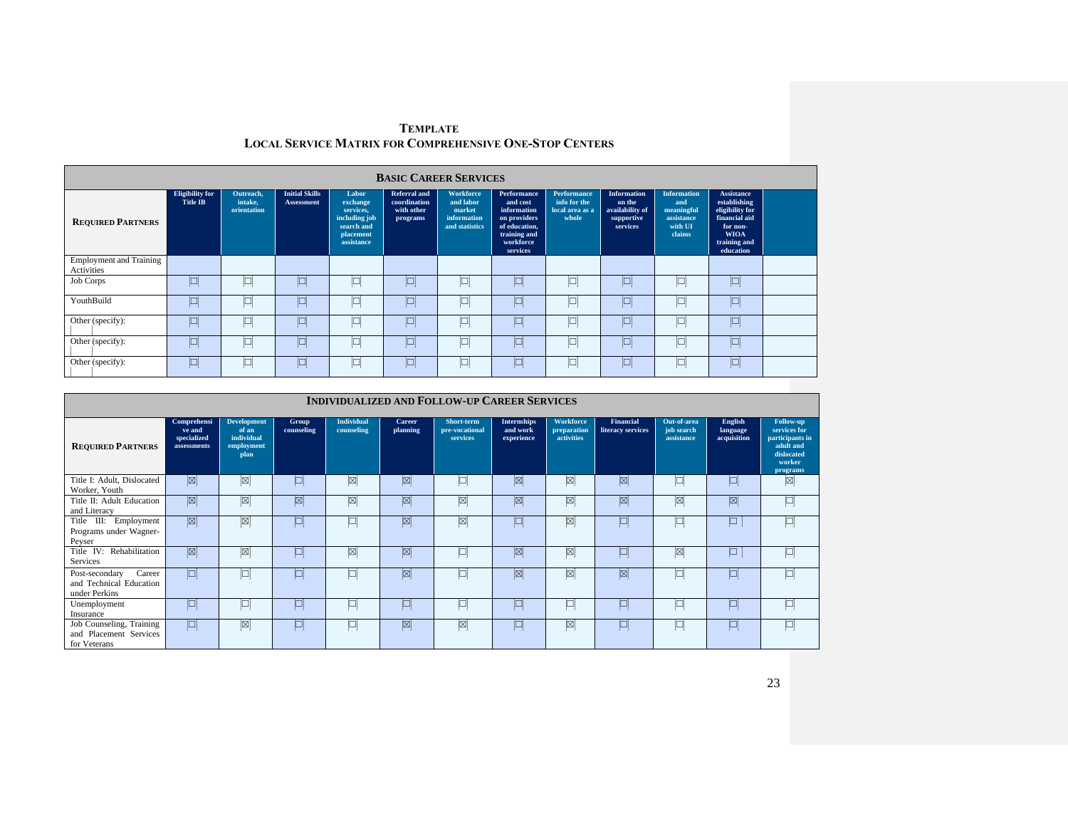|                                              | <b>BASIC CAREER SERVICES</b>              |                                     |                                            |                                                                                          |                                                               |                                                                          |                                                                                                                  |                                                                |                                                                           |                                                                            |                                                                                                                               |  |  |  |  |
|----------------------------------------------|-------------------------------------------|-------------------------------------|--------------------------------------------|------------------------------------------------------------------------------------------|---------------------------------------------------------------|--------------------------------------------------------------------------|------------------------------------------------------------------------------------------------------------------|----------------------------------------------------------------|---------------------------------------------------------------------------|----------------------------------------------------------------------------|-------------------------------------------------------------------------------------------------------------------------------|--|--|--|--|
| <b>REQUIRED PARTNERS</b>                     | <b>Eligibility</b> for<br><b>Title IB</b> | Outreach.<br>intake,<br>orientation | <b>Initial Skills</b><br><b>Assessment</b> | Labor<br>exchange<br>services.<br>including job<br>search and<br>placement<br>assistance | <b>Referral and</b><br>coordination<br>with other<br>programs | <b>Workforce</b><br>and labor<br>market<br>information<br>and statistics | Performance<br>and cost<br>information<br>on providers<br>of education,<br>training and<br>workforce<br>services | <b>Performance</b><br>info for the<br>local area as a<br>whole | <b>Information</b><br>on the<br>availability of<br>supportive<br>services | <b>Information</b><br>and<br>meaningful<br>assistance<br>with UI<br>claims | <b>Assistance</b><br>establishing<br>eligibility for<br>financial aid<br>for non-<br><b>WIOA</b><br>training and<br>education |  |  |  |  |
| <b>Employment and Training</b><br>Activities |                                           |                                     |                                            |                                                                                          |                                                               |                                                                          |                                                                                                                  |                                                                |                                                                           |                                                                            |                                                                                                                               |  |  |  |  |
| Job Corps                                    | ╚                                         | اكا                                 |                                            |                                                                                          |                                                               | ц                                                                        |                                                                                                                  | L                                                              |                                                                           | o                                                                          |                                                                                                                               |  |  |  |  |
| YouthBuild                                   | $\Box$                                    | $\Box$                              | $\Box$                                     |                                                                                          | $\Box$                                                        | ⊔                                                                        |                                                                                                                  | $\Box$                                                         |                                                                           | Þ                                                                          |                                                                                                                               |  |  |  |  |
| Other (specify):                             | O                                         | 口                                   |                                            |                                                                                          | ⊔                                                             | ◡                                                                        |                                                                                                                  | $\Box$                                                         |                                                                           | ᅳ                                                                          |                                                                                                                               |  |  |  |  |
| Other (specify):                             | O                                         | 口                                   |                                            |                                                                                          |                                                               |                                                                          |                                                                                                                  | p                                                              |                                                                           | $\Box$                                                                     |                                                                                                                               |  |  |  |  |
| Other (specify):                             |                                           | . H                                 |                                            |                                                                                          |                                                               |                                                                          |                                                                                                                  | E                                                              |                                                                           | $\Box$                                                                     |                                                                                                                               |  |  |  |  |

|                                                                      | <b>INDIVIDUALIZED AND FOLLOW-UP CAREER SERVICES</b> |                                                                 |                     |                          |                     |                                          |                                              |                                               |                                       |                                         |                                    |                                                                                               |  |  |  |
|----------------------------------------------------------------------|-----------------------------------------------------|-----------------------------------------------------------------|---------------------|--------------------------|---------------------|------------------------------------------|----------------------------------------------|-----------------------------------------------|---------------------------------------|-----------------------------------------|------------------------------------|-----------------------------------------------------------------------------------------------|--|--|--|
| <b>REQUIRED PARTNERS</b>                                             | Comprehensi<br>ve and<br>specialized<br>assessments | <b>Development</b><br>of an<br>individual<br>employment<br>plan | Group<br>counseling | Individual<br>counseling | Career<br>planning  | Short-term<br>pre-vocational<br>services | <b>Internships</b><br>and work<br>experience | <b>Workforce</b><br>preparation<br>activities | <b>Financial</b><br>literacy services | Out-of-area<br>job search<br>assistance | English<br>language<br>acquisition | Follow-up<br>services for<br>participants in<br>adult and<br>dislocated<br>worker<br>programs |  |  |  |
| Title I: Adult, Dislocated<br>Worker, Youth                          | 図                                                   | ⊠                                                               | $\Box$              | ⊠                        | ⊠                   | $\Box$                                   | ⊠                                            | Ø                                             | ⊠                                     |                                         | ▣                                  | ⊠                                                                                             |  |  |  |
| Title II: Adult Education<br>and Literacy                            | 図                                                   | $[\boxtimes]$                                                   | 図                   | ⊠                        | ⊠                   | Ø                                        | 図                                            | $\boxtimes$                                   | ⊠                                     | $\boxtimes$                             | ⊠∣                                 | $\Box$                                                                                        |  |  |  |
| Title III: Employment<br>Programs under Wagner-<br>Peyser            | $\boxed{\boxtimes}$                                 | Ø                                                               | $\Box$              | ¢                        | $\boxed{\boxtimes}$ | Ø                                        |                                              | Ø                                             | $\blacksquare$                        |                                         | $\Box$                             |                                                                                               |  |  |  |
| Title IV: Rehabilitation<br>Services                                 | 図                                                   | Ø                                                               | $\Box$              | ⊠                        | ⊠                   | $\Box$                                   | ⊠                                            | ⊠∣                                            | $\Box$                                | ⊠                                       | $\Box$                             | $\Box$                                                                                        |  |  |  |
| Career<br>Post-secondary<br>and Technical Education<br>under Perkins | $\Box$                                              |                                                                 | $\Box$              | o                        | ⊠                   | $\Box$                                   | <b>X</b>                                     | Ø                                             | ⊠                                     |                                         | ⊡                                  | $\Box$                                                                                        |  |  |  |
| Unemployment<br>Insurance                                            | þ                                                   | ĺ                                                               |                     | þ                        | O                   | $\Box$                                   |                                              | $\Box$                                        | $\blacksquare$                        |                                         | $\Box$                             | $\Box$                                                                                        |  |  |  |
| Job Counseling, Training<br>and Placement Services<br>for Veterans   | $\Box$                                              | $\boxtimes$                                                     | L                   | ⊔                        | $\boxed{\boxtimes}$ | ⊠                                        |                                              | Ø                                             | $\blacksquare$                        |                                         | $\Box$                             |                                                                                               |  |  |  |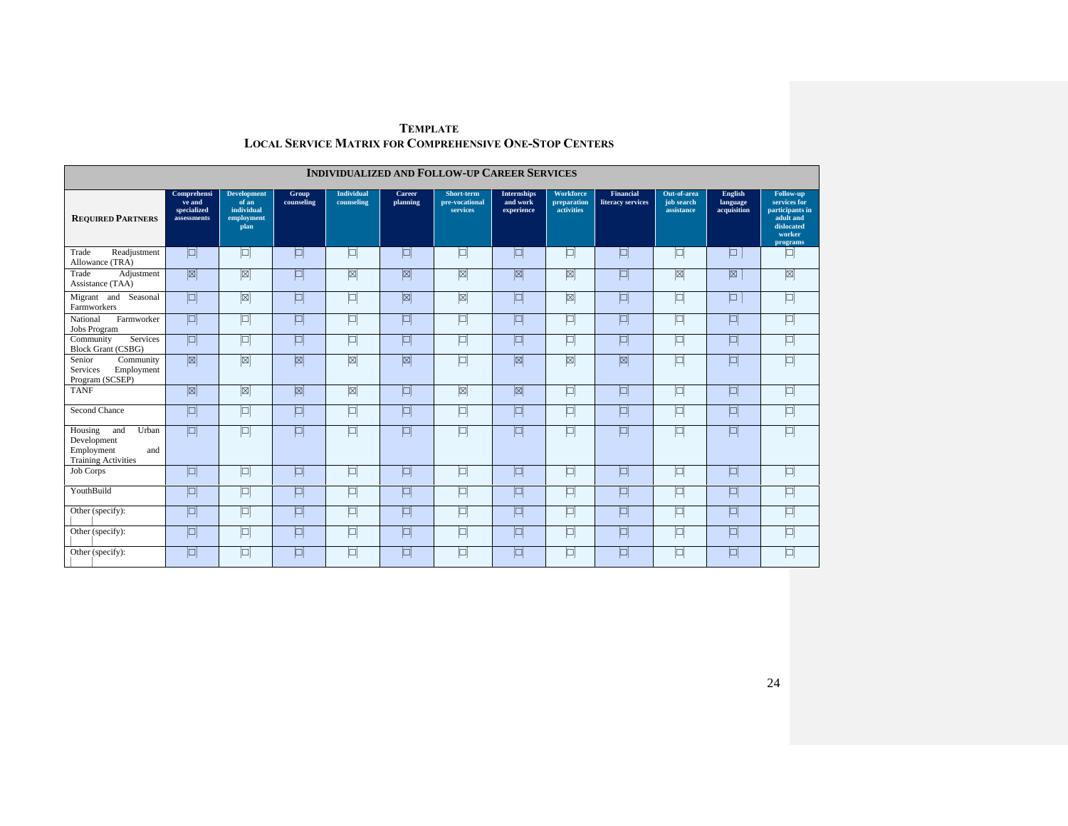|                                                                                           | <b>INDIVIDUALIZED AND FOLLOW-UP CAREER SERVICES</b> |                                                                 |                     |                                 |                     |                                          |                                              |                                        |                                       |                                         |                                    |                                                                                               |  |  |
|-------------------------------------------------------------------------------------------|-----------------------------------------------------|-----------------------------------------------------------------|---------------------|---------------------------------|---------------------|------------------------------------------|----------------------------------------------|----------------------------------------|---------------------------------------|-----------------------------------------|------------------------------------|-----------------------------------------------------------------------------------------------|--|--|
| <b>REQUIRED PARTNERS</b>                                                                  | Comprehensi<br>ve and<br>specialized<br>assessments | <b>Development</b><br>of an<br>individual<br>employment<br>plan | Group<br>counseling | <b>Individual</b><br>counseling | Career<br>planning  | Short-term<br>pre-vocational<br>services | <b>Internships</b><br>and work<br>experience | Workforce<br>preparation<br>activities | <b>Financial</b><br>literacy services | Out-of-area<br>job search<br>assistance | English<br>language<br>acquisition | Follow-up<br>services for<br>participants in<br>adult and<br>dislocated<br>worker<br>programs |  |  |
| Trade<br>Readjustment<br>Allowance (TRA)                                                  | p                                                   | $\Box$                                                          | $\Box$              | $\Box$                          | $\Box$              | $\Box$                                   | $\Box$                                       | 回                                      | $\Box$                                | $\Box$                                  | $\Box$                             | $\Box$                                                                                        |  |  |
| Trade<br>Adjustment<br>Assistance (TAA)                                                   | 図                                                   | $\boxed{\boxtimes}$                                             | $\Box$              | ⊠                               | $\boxed{\boxtimes}$ | $\boxed{\boxtimes}$                      | 図                                            | $\boxed{\boxtimes}$                    | $\Box$                                | $\boxtimes$                             | ⊠                                  | $\boxed{\boxtimes}$                                                                           |  |  |
| Migrant and<br>Seasonal<br>Farmworkers                                                    | $\blacksquare$                                      | $[\boxtimes]$                                                   | $\Box$              | $\Box$                          | $\boxed{\boxtimes}$ | $\boxed{\boxtimes}$                      | $\Box$                                       | $[\boxtimes]$                          | $\Box$                                | $\Box$                                  | $\Box$                             | $\Box$                                                                                        |  |  |
| National<br>Farmworker<br>Jobs Program                                                    | 回                                                   | $\Box$                                                          | $\Box$              | 口                               | $\Box$              | $\boxed{\square}$                        | $\Box$                                       | $\Box$                                 | $\Box$                                | $\Box$                                  | $\Box$                             | $\Box$                                                                                        |  |  |
| Services<br>Community<br><b>Block Grant (CSBG)</b>                                        | 回                                                   | $\Box$                                                          | $\Box$              | 口                               | $\Box$              | $\boxed{\Box}$                           | $\Box$                                       | $\Box$                                 | $\Box$                                | $\Box$                                  | $\Box$                             | $\Box$                                                                                        |  |  |
| Senior<br>Community<br>Services<br>Employment<br>Program (SCSEP)                          | 図                                                   | $\boxtimes$                                                     | ⊠                   | $\boxtimes$                     | $\boxtimes$         | $\Box$                                   | ⊠                                            | ⊠                                      | ⊠                                     | $\Box$                                  | $\Box$                             | 回                                                                                             |  |  |
| <b>TANF</b>                                                                               | 図                                                   | $\boxed{\boxtimes}$                                             | $\boxed{\boxtimes}$ | $\boxed{\boxtimes}$             | $\Box$              | $\boxed{\boxtimes}$                      | $\boxed{\boxtimes}$                          | $\Box$                                 | $\blacksquare$                        | $\Box$                                  | $\Box$                             | $\Box$                                                                                        |  |  |
| Second Chance                                                                             | $\Box$                                              | $\Box$                                                          | $\Box$              | 口                               | $\Box$              | $\Box$                                   | $\Box$                                       | $\Box$                                 | $\Box$                                | $\Box$                                  | $\Box$                             | $\Box$                                                                                        |  |  |
| Urban<br>Housing<br>and<br>Development<br>Employment<br>and<br><b>Training Activities</b> | $\Box$                                              | $\Box$                                                          | $\blacksquare$      | $\Box$                          | $\blacksquare$      | $\Box$                                   | $\Box$                                       | $\Box$                                 | $\Box$                                | $\Box$                                  | $\Box$                             | $\Box$                                                                                        |  |  |
| Job Corps                                                                                 | 回                                                   | $\Box$                                                          | $\Box$              | $\Box$                          | $\Box$              | $\Box$                                   | $\Box$                                       | o                                      | $\Box$                                | 口                                       | $\Box$                             | 回                                                                                             |  |  |
| YouthBuild                                                                                | 回                                                   | $\Box$                                                          | $\Box$              | 口                               | $\Box$              | $\Box$                                   | $\Box$                                       | $\Box$                                 | $\Box$                                | $\Box$                                  | 回                                  | $\Box$                                                                                        |  |  |
| Other (specify):                                                                          | 回                                                   | $\Box$                                                          | $\boxed{\Box}$      | $\Box$                          | $\Box$              | $\Box$                                   | $\Box$                                       | 回                                      | $\Box$                                | 回                                       | $\Box$                             | $\Box$                                                                                        |  |  |
| Other (specify):                                                                          | 回                                                   | $\Box$                                                          | $\Box$              | $\Box$                          | $\Box$              | $\boxed{\square}$                        | $\Box$                                       | $\Box$                                 | $\Box$                                | $\Box$                                  | $\Box$                             | $\Box$                                                                                        |  |  |
| Other (specify):                                                                          | 回                                                   | 口                                                               | $\Box$              | 口                               | $\Box$              | 口                                        | $\Box$                                       | 回                                      | $\Box$                                | 回                                       | $\Box$                             | $\Box$                                                                                        |  |  |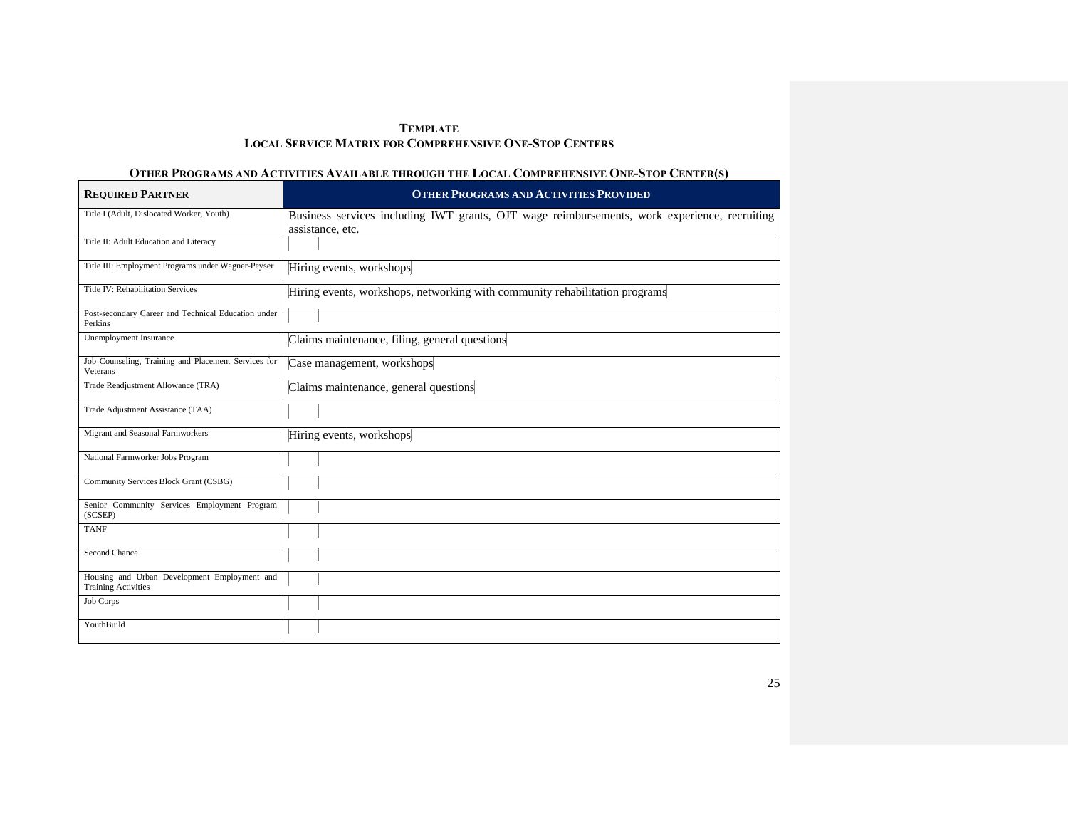# OTHER PROGRAMS AND ACTIVITIES AVAILABLE THROUGH THE LOCAL COMPREHENSIVE ONE-STOP CENTER(S)

| <b>REQUIRED PARTNER</b>                                                    | <b>OTHER PROGRAMS AND ACTIVITIES PROVIDED</b>                                                                    |
|----------------------------------------------------------------------------|------------------------------------------------------------------------------------------------------------------|
| Title I (Adult, Dislocated Worker, Youth)                                  | Business services including IWT grants, OJT wage reimbursements, work experience, recruiting<br>assistance, etc. |
| Title II: Adult Education and Literacy                                     |                                                                                                                  |
| Title III: Employment Programs under Wagner-Peyser                         | Hiring events, workshops                                                                                         |
| Title IV: Rehabilitation Services                                          | Hiring events, workshops, networking with community rehabilitation programs                                      |
| Post-secondary Career and Technical Education under<br>Perkins             |                                                                                                                  |
| Unemployment Insurance                                                     | Claims maintenance, filing, general questions                                                                    |
| Job Counseling, Training and Placement Services for<br>Veterans            | Case management, workshops                                                                                       |
| Trade Readjustment Allowance (TRA)                                         | Claims maintenance, general questions                                                                            |
| Trade Adjustment Assistance (TAA)                                          |                                                                                                                  |
| Migrant and Seasonal Farmworkers                                           | Hiring events, workshops                                                                                         |
| National Farmworker Jobs Program                                           |                                                                                                                  |
| Community Services Block Grant (CSBG)                                      |                                                                                                                  |
| Senior Community Services Employment Program<br>(SCSEP)                    |                                                                                                                  |
| <b>TANF</b>                                                                |                                                                                                                  |
| Second Chance                                                              |                                                                                                                  |
| Housing and Urban Development Employment and<br><b>Training Activities</b> |                                                                                                                  |
| Job Corps                                                                  |                                                                                                                  |
| YouthBuild                                                                 |                                                                                                                  |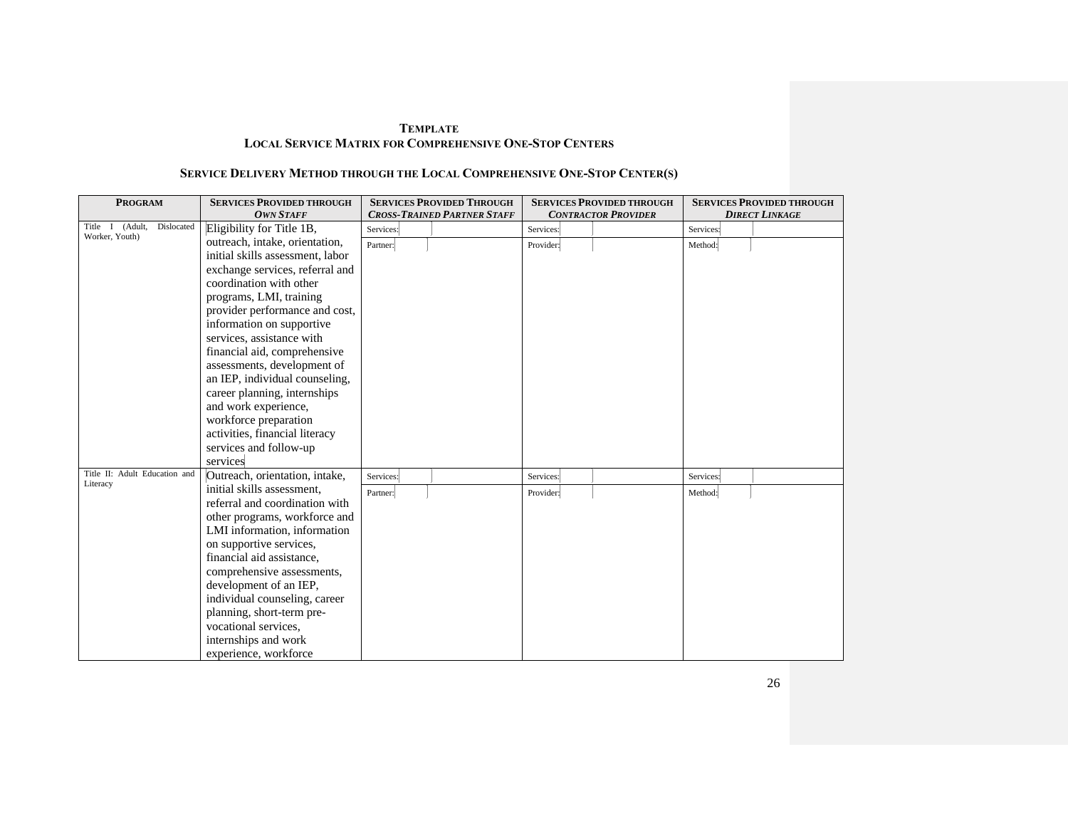# **SERVICE DELIVERY METHOD THROUGH THE LOCAL COMPREHENSIVE ONE-STOP CENTER(S)**

| <b>PROGRAM</b>                | <b>SERVICES PROVIDED THROUGH</b> | <b>SERVICES PROVIDED THROUGH</b>   | <b>SERVICES PROVIDED THROUGH</b> | <b>SERVICES PROVIDED THROUGH</b> |
|-------------------------------|----------------------------------|------------------------------------|----------------------------------|----------------------------------|
|                               | <b>OWN STAFF</b>                 | <b>CROSS-TRAINED PARTNER STAFF</b> | <b>CONTRACTOR PROVIDER</b>       | <b>DIRECT LINKAGE</b>            |
| Title I (Adult,<br>Dislocated | Eligibility for Title 1B,        | Services:                          | Services:                        | Services:                        |
| Worker, Youth)                | outreach, intake, orientation,   | Partner:                           | Provider:                        | Method:                          |
|                               | initial skills assessment, labor |                                    |                                  |                                  |
|                               | exchange services, referral and  |                                    |                                  |                                  |
|                               | coordination with other          |                                    |                                  |                                  |
|                               | programs, LMI, training          |                                    |                                  |                                  |
|                               | provider performance and cost,   |                                    |                                  |                                  |
|                               | information on supportive        |                                    |                                  |                                  |
|                               | services, assistance with        |                                    |                                  |                                  |
|                               | financial aid, comprehensive     |                                    |                                  |                                  |
|                               | assessments, development of      |                                    |                                  |                                  |
|                               | an IEP, individual counseling,   |                                    |                                  |                                  |
|                               | career planning, internships     |                                    |                                  |                                  |
|                               | and work experience,             |                                    |                                  |                                  |
|                               | workforce preparation            |                                    |                                  |                                  |
|                               | activities, financial literacy   |                                    |                                  |                                  |
|                               | services and follow-up           |                                    |                                  |                                  |
|                               | services                         |                                    |                                  |                                  |
| Title II: Adult Education and | Outreach, orientation, intake,   | Services:                          | Services:                        | Services:                        |
| Literacy                      | initial skills assessment,       | Partner:                           | Provider:                        | Method:                          |
|                               | referral and coordination with   |                                    |                                  |                                  |
|                               | other programs, workforce and    |                                    |                                  |                                  |
|                               | LMI information, information     |                                    |                                  |                                  |
|                               | on supportive services,          |                                    |                                  |                                  |
|                               | financial aid assistance,        |                                    |                                  |                                  |
|                               | comprehensive assessments,       |                                    |                                  |                                  |
|                               | development of an IEP,           |                                    |                                  |                                  |
|                               | individual counseling, career    |                                    |                                  |                                  |
|                               | planning, short-term pre-        |                                    |                                  |                                  |
|                               | vocational services,             |                                    |                                  |                                  |
|                               | internships and work             |                                    |                                  |                                  |
|                               | experience, workforce            |                                    |                                  |                                  |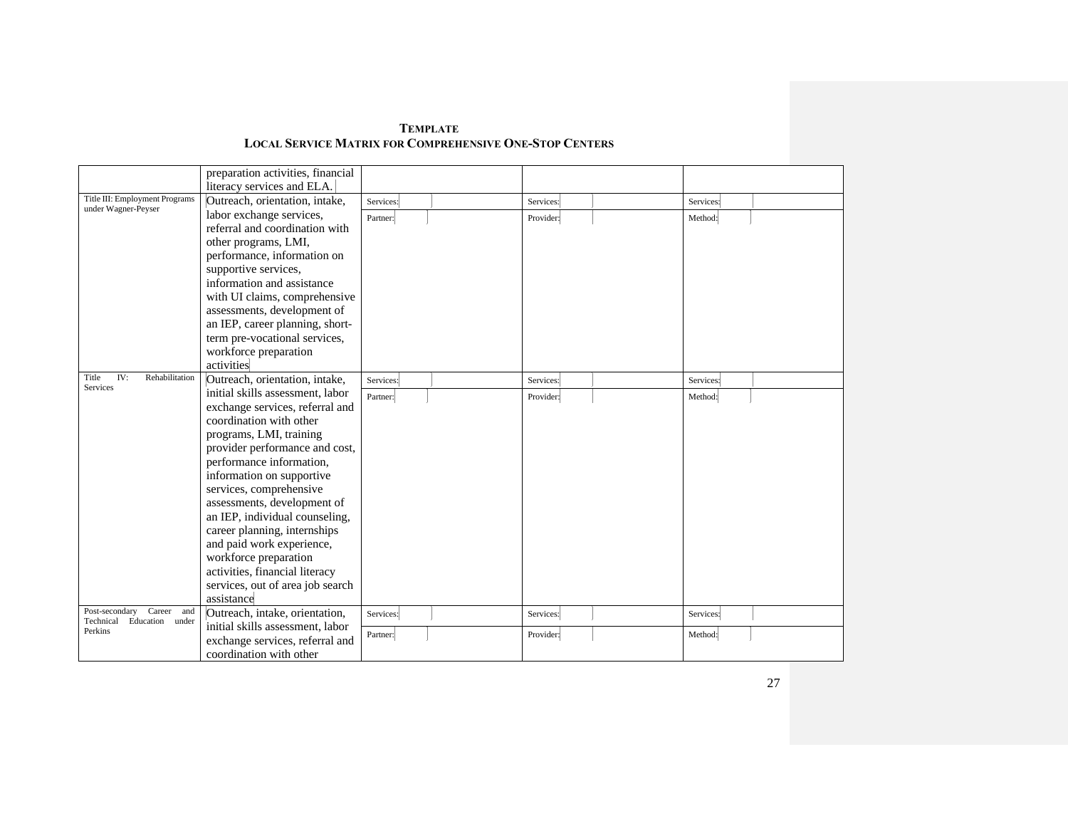| <b>TEMPLATE</b>                                         |  |
|---------------------------------------------------------|--|
| Local Service Matrix for Comprehensive One-Stop Centers |  |

|                                                              | preparation activities, financial |           |           |           |  |
|--------------------------------------------------------------|-----------------------------------|-----------|-----------|-----------|--|
|                                                              | literacy services and ELA.        |           |           |           |  |
| Title III: Employment Programs                               | Outreach, orientation, intake,    | Services: | Services: | Services: |  |
| under Wagner-Peyser                                          | labor exchange services,          | Partner:  | Provider: | Method:   |  |
|                                                              | referral and coordination with    |           |           |           |  |
|                                                              | other programs, LMI,              |           |           |           |  |
|                                                              | performance, information on       |           |           |           |  |
|                                                              | supportive services,              |           |           |           |  |
|                                                              | information and assistance        |           |           |           |  |
|                                                              | with UI claims, comprehensive     |           |           |           |  |
|                                                              | assessments, development of       |           |           |           |  |
|                                                              | an IEP, career planning, short-   |           |           |           |  |
|                                                              | term pre-vocational services,     |           |           |           |  |
|                                                              | workforce preparation             |           |           |           |  |
|                                                              | activities                        |           |           |           |  |
| IV:<br>Rehabilitation<br>Title                               | Outreach, orientation, intake,    | Services: | Services: | Services: |  |
| Services                                                     | initial skills assessment, labor  | Partner:  | Provider: | Method:   |  |
|                                                              | exchange services, referral and   |           |           |           |  |
|                                                              | coordination with other           |           |           |           |  |
|                                                              | programs, LMI, training           |           |           |           |  |
|                                                              | provider performance and cost,    |           |           |           |  |
|                                                              | performance information,          |           |           |           |  |
|                                                              | information on supportive         |           |           |           |  |
|                                                              | services, comprehensive           |           |           |           |  |
|                                                              | assessments, development of       |           |           |           |  |
|                                                              | an IEP, individual counseling,    |           |           |           |  |
|                                                              | career planning, internships      |           |           |           |  |
|                                                              | and paid work experience,         |           |           |           |  |
|                                                              | workforce preparation             |           |           |           |  |
|                                                              | activities, financial literacy    |           |           |           |  |
|                                                              | services, out of area job search  |           |           |           |  |
|                                                              | assistance                        |           |           |           |  |
| Career<br>Post-secondary<br>and<br>Technical Education under | Outreach, intake, orientation,    | Services: | Services: | Services: |  |
| Perkins                                                      | initial skills assessment, labor  | Partner:  | Provider: | Method:   |  |
|                                                              | exchange services, referral and   |           |           |           |  |
|                                                              | coordination with other           |           |           |           |  |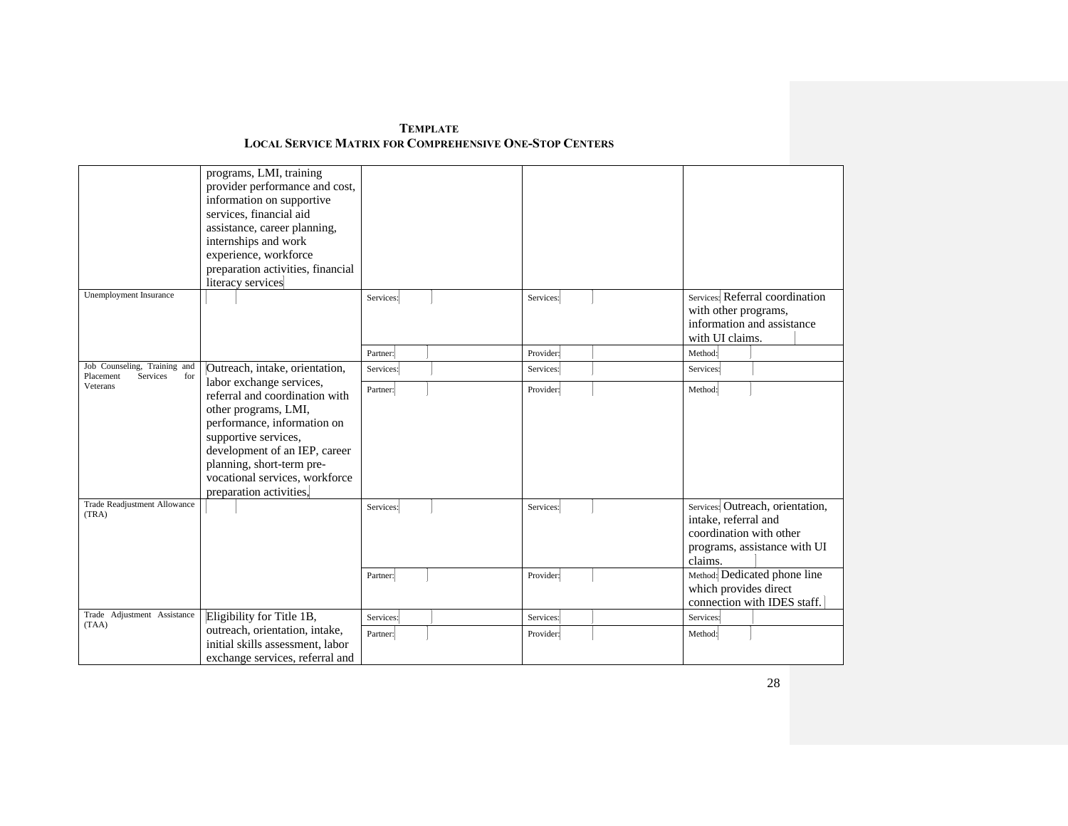|                                                              | programs, LMI, training<br>provider performance and cost,<br>information on supportive<br>services, financial aid<br>assistance, career planning,<br>internships and work<br>experience, workforce<br>preparation activities, financial<br>literacy services |           |           |                                                                                                                                |  |
|--------------------------------------------------------------|--------------------------------------------------------------------------------------------------------------------------------------------------------------------------------------------------------------------------------------------------------------|-----------|-----------|--------------------------------------------------------------------------------------------------------------------------------|--|
| Unemployment Insurance                                       |                                                                                                                                                                                                                                                              | Services: | Services: | Services: Referral coordination<br>with other programs,<br>information and assistance<br>with UI claims.                       |  |
|                                                              |                                                                                                                                                                                                                                                              | Partner:  | Provider: | Method:                                                                                                                        |  |
| Job Counseling, Training and<br>Placement<br>Services<br>for | Outreach, intake, orientation,<br>labor exchange services,                                                                                                                                                                                                   | Services: | Services: | Services:                                                                                                                      |  |
| Veterans                                                     | referral and coordination with<br>other programs, LMI,<br>performance, information on<br>supportive services,<br>development of an IEP, career<br>planning, short-term pre-<br>vocational services, workforce<br>preparation activities,                     | Partner:  | Provider: | Method:                                                                                                                        |  |
| Trade Readjustment Allowance<br>(TRA)                        |                                                                                                                                                                                                                                                              | Services: | Services: | Services: Outreach, orientation,<br>intake, referral and<br>coordination with other<br>programs, assistance with UI<br>claims. |  |
|                                                              |                                                                                                                                                                                                                                                              | Partner:  | Provider: | Method: Dedicated phone line<br>which provides direct<br>connection with IDES staff.                                           |  |
| Trade Adjustment Assistance<br>(TAA)                         | Eligibility for Title 1B,                                                                                                                                                                                                                                    | Services: | Services: | Services:                                                                                                                      |  |
|                                                              | outreach, orientation, intake,<br>initial skills assessment, labor<br>exchange services, referral and                                                                                                                                                        | Partner:  | Provider: | Method:                                                                                                                        |  |
|                                                              |                                                                                                                                                                                                                                                              |           |           |                                                                                                                                |  |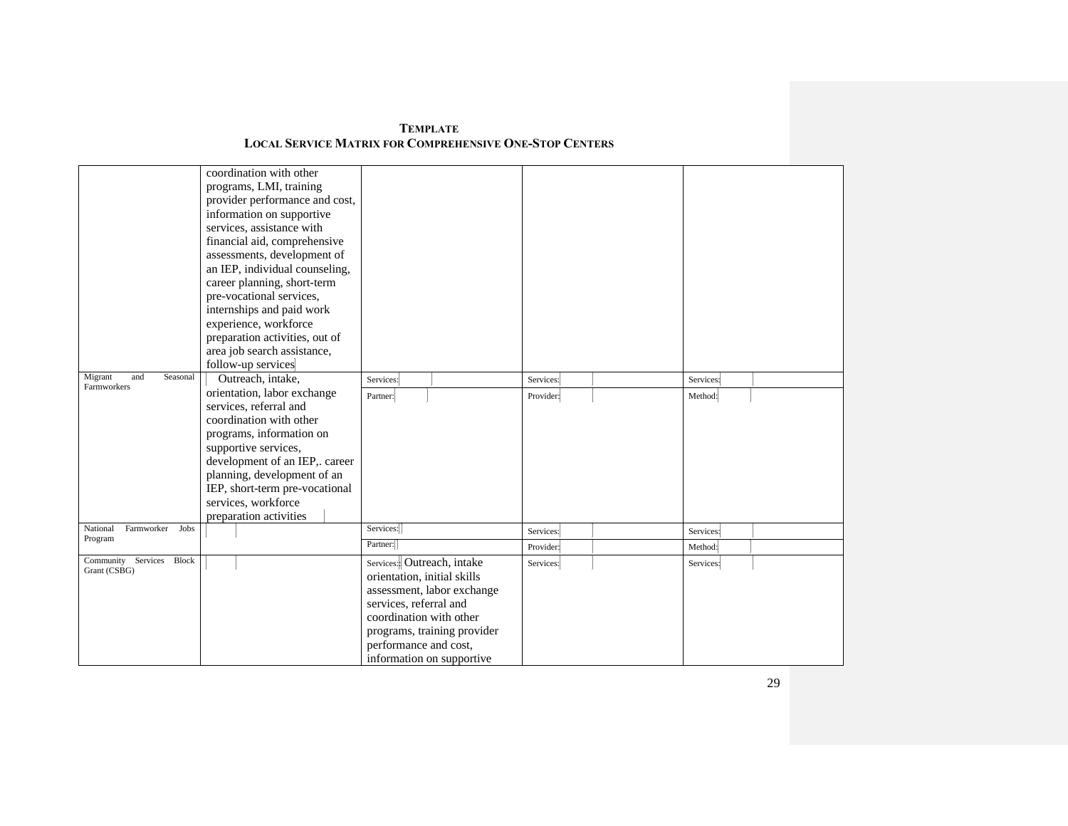| <b>TEMPLATE</b>                                         |
|---------------------------------------------------------|
| Local Service Matrix for Comprehensive One-Stop Centers |

| coordination with other<br>programs, LMI, training<br>provider performance and cost,<br>information on supportive<br>services, assistance with<br>financial aid, comprehensive<br>assessments, development of<br>an IEP, individual counseling, |                                                                                                                                                                                                                                                                                                                                                                                                                   |           |                                          |
|-------------------------------------------------------------------------------------------------------------------------------------------------------------------------------------------------------------------------------------------------|-------------------------------------------------------------------------------------------------------------------------------------------------------------------------------------------------------------------------------------------------------------------------------------------------------------------------------------------------------------------------------------------------------------------|-----------|------------------------------------------|
| pre-vocational services,                                                                                                                                                                                                                        |                                                                                                                                                                                                                                                                                                                                                                                                                   |           |                                          |
| internships and paid work                                                                                                                                                                                                                       |                                                                                                                                                                                                                                                                                                                                                                                                                   |           |                                          |
|                                                                                                                                                                                                                                                 |                                                                                                                                                                                                                                                                                                                                                                                                                   |           |                                          |
|                                                                                                                                                                                                                                                 |                                                                                                                                                                                                                                                                                                                                                                                                                   |           |                                          |
| follow-up services                                                                                                                                                                                                                              |                                                                                                                                                                                                                                                                                                                                                                                                                   |           |                                          |
| Outreach, intake,                                                                                                                                                                                                                               | Services:                                                                                                                                                                                                                                                                                                                                                                                                         | Services: | Services:                                |
|                                                                                                                                                                                                                                                 | Partner:                                                                                                                                                                                                                                                                                                                                                                                                          | Provider: | Method:                                  |
|                                                                                                                                                                                                                                                 |                                                                                                                                                                                                                                                                                                                                                                                                                   |           |                                          |
|                                                                                                                                                                                                                                                 |                                                                                                                                                                                                                                                                                                                                                                                                                   |           |                                          |
|                                                                                                                                                                                                                                                 |                                                                                                                                                                                                                                                                                                                                                                                                                   |           |                                          |
|                                                                                                                                                                                                                                                 |                                                                                                                                                                                                                                                                                                                                                                                                                   |           |                                          |
|                                                                                                                                                                                                                                                 |                                                                                                                                                                                                                                                                                                                                                                                                                   |           |                                          |
|                                                                                                                                                                                                                                                 |                                                                                                                                                                                                                                                                                                                                                                                                                   |           |                                          |
|                                                                                                                                                                                                                                                 |                                                                                                                                                                                                                                                                                                                                                                                                                   |           |                                          |
|                                                                                                                                                                                                                                                 |                                                                                                                                                                                                                                                                                                                                                                                                                   |           |                                          |
|                                                                                                                                                                                                                                                 | Services:                                                                                                                                                                                                                                                                                                                                                                                                         |           | Services:                                |
|                                                                                                                                                                                                                                                 | Partner:                                                                                                                                                                                                                                                                                                                                                                                                          | Provider: | Method:                                  |
|                                                                                                                                                                                                                                                 | Services: Outreach, intake<br>orientation, initial skills<br>assessment, labor exchange<br>services, referral and<br>coordination with other                                                                                                                                                                                                                                                                      | Services: | Services:                                |
|                                                                                                                                                                                                                                                 | career planning, short-term<br>experience, workforce<br>preparation activities, out of<br>area job search assistance,<br>orientation, labor exchange<br>services, referral and<br>coordination with other<br>programs, information on<br>supportive services,<br>development of an IEP,. career<br>planning, development of an<br>IEP, short-term pre-vocational<br>services, workforce<br>preparation activities |           | Services:<br>programs, training provider |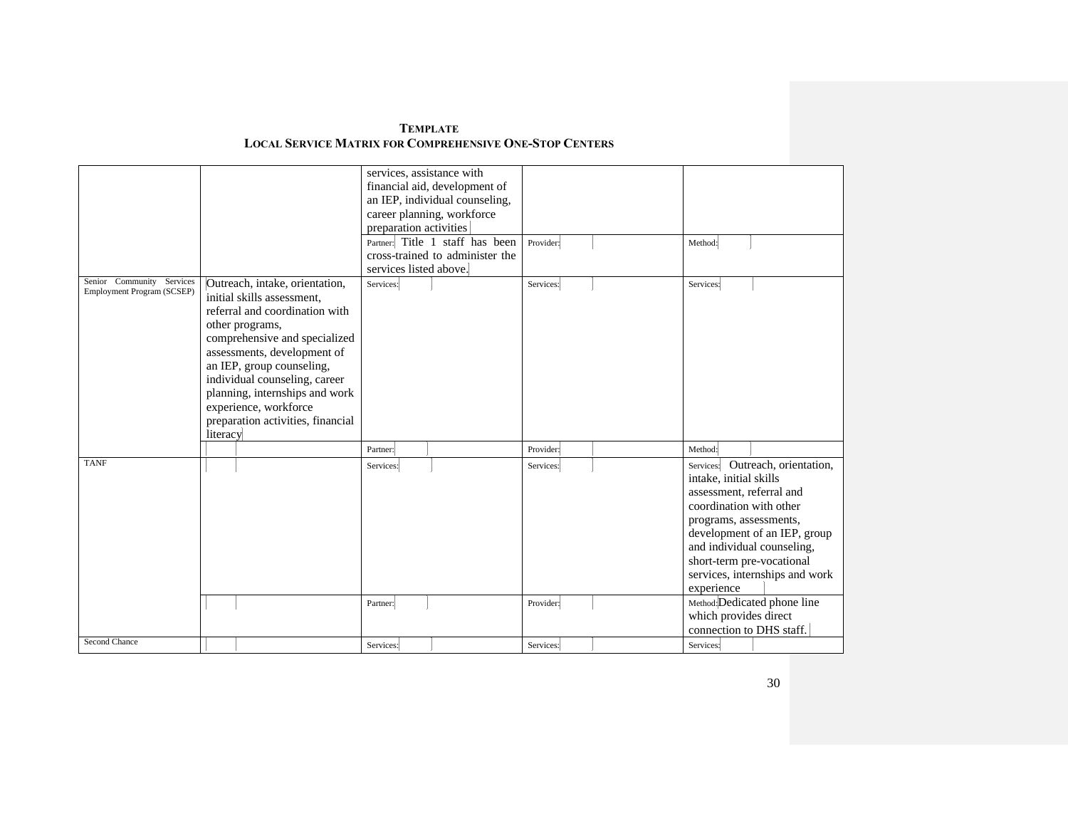| <b>TEMPLATE</b>                                                |  |
|----------------------------------------------------------------|--|
| <b>LOCAL SERVICE MATRIX FOR COMPREHENSIVE ONE-STOP CENTERS</b> |  |

|                            |                                   | services, assistance with      |                                 |           |                           |                                |
|----------------------------|-----------------------------------|--------------------------------|---------------------------------|-----------|---------------------------|--------------------------------|
|                            |                                   | financial aid, development of  |                                 |           |                           |                                |
|                            |                                   | an IEP, individual counseling, |                                 |           |                           |                                |
|                            |                                   | career planning, workforce     |                                 |           |                           |                                |
|                            |                                   | preparation activities         |                                 |           |                           |                                |
|                            |                                   |                                |                                 |           |                           |                                |
|                            |                                   |                                | Partner: Title 1 staff has been | Provider: | Method:                   |                                |
|                            |                                   |                                | cross-trained to administer the |           |                           |                                |
|                            |                                   | services listed above.         |                                 |           |                           |                                |
| Senior Community Services  | Outreach, intake, orientation,    | Services:                      |                                 | Services: | Services:                 |                                |
| Employment Program (SCSEP) | initial skills assessment,        |                                |                                 |           |                           |                                |
|                            | referral and coordination with    |                                |                                 |           |                           |                                |
|                            | other programs,                   |                                |                                 |           |                           |                                |
|                            | comprehensive and specialized     |                                |                                 |           |                           |                                |
|                            | assessments, development of       |                                |                                 |           |                           |                                |
|                            | an IEP, group counseling,         |                                |                                 |           |                           |                                |
|                            | individual counseling, career     |                                |                                 |           |                           |                                |
|                            |                                   |                                |                                 |           |                           |                                |
|                            | planning, internships and work    |                                |                                 |           |                           |                                |
|                            | experience, workforce             |                                |                                 |           |                           |                                |
|                            | preparation activities, financial |                                |                                 |           |                           |                                |
|                            | literacy                          |                                |                                 |           |                           |                                |
|                            |                                   | Partner:                       |                                 | Provider: | Method:                   |                                |
| <b>TANF</b>                |                                   | Services:                      |                                 | Services: | Services:                 | Outreach, orientation,         |
|                            |                                   |                                |                                 |           | intake, initial skills    |                                |
|                            |                                   |                                |                                 |           | assessment, referral and  |                                |
|                            |                                   |                                |                                 |           | coordination with other   |                                |
|                            |                                   |                                |                                 |           | programs, assessments,    |                                |
|                            |                                   |                                |                                 |           |                           | development of an IEP, group   |
|                            |                                   |                                |                                 |           |                           | and individual counseling,     |
|                            |                                   |                                |                                 |           |                           |                                |
|                            |                                   |                                |                                 |           | short-term pre-vocational |                                |
|                            |                                   |                                |                                 |           |                           | services, internships and work |
|                            |                                   |                                |                                 |           | experience                |                                |
|                            |                                   | Partner:                       |                                 | Provider: |                           | Method: Dedicated phone line   |
|                            |                                   |                                |                                 |           | which provides direct     |                                |
|                            |                                   |                                |                                 |           | connection to DHS staff.  |                                |
| Second Chance              |                                   | Services:                      |                                 | Services: | Services:                 |                                |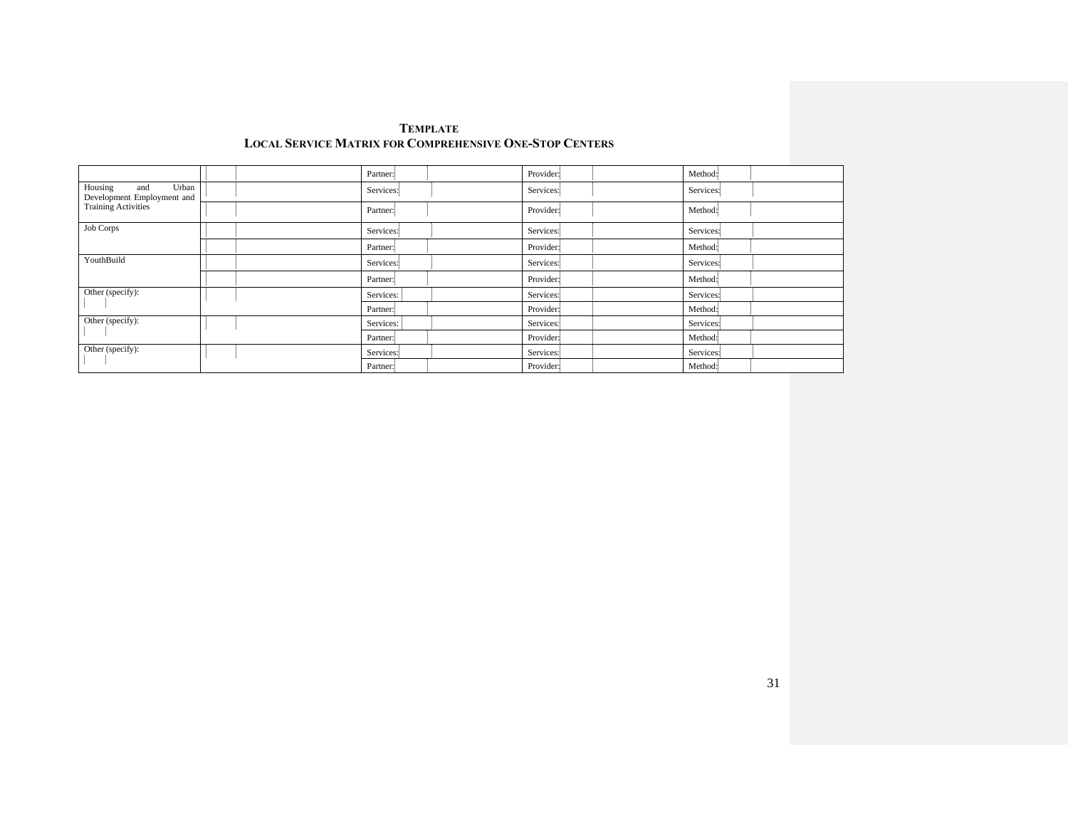|                                                       |           | Partner:  | Provider: | Method:   |
|-------------------------------------------------------|-----------|-----------|-----------|-----------|
| Housing<br>Urban<br>and<br>Development Employment and |           | Services: | Services: | Services: |
| <b>Training Activities</b>                            |           | Partner:  | Provider: | Method:   |
| <b>Job Corps</b>                                      |           | Services: | Services: | Services: |
|                                                       |           | Partner:  | Provider: | Method:   |
| YouthBuild                                            |           | Services: | Services: | Services: |
|                                                       |           | Partner:  | Provider: | Method:   |
| Other (specify):                                      | Services: | Services: | Services: |           |
|                                                       |           | Partner:  | Provider: | Method:   |
| Other (specify):                                      |           | Services: | Services: | Services: |
|                                                       |           | Partner:  | Provider: | Method:   |
| Other (specify):                                      |           | Services: | Services: | Services: |
|                                                       |           | Partner:  | Provider: | Method:   |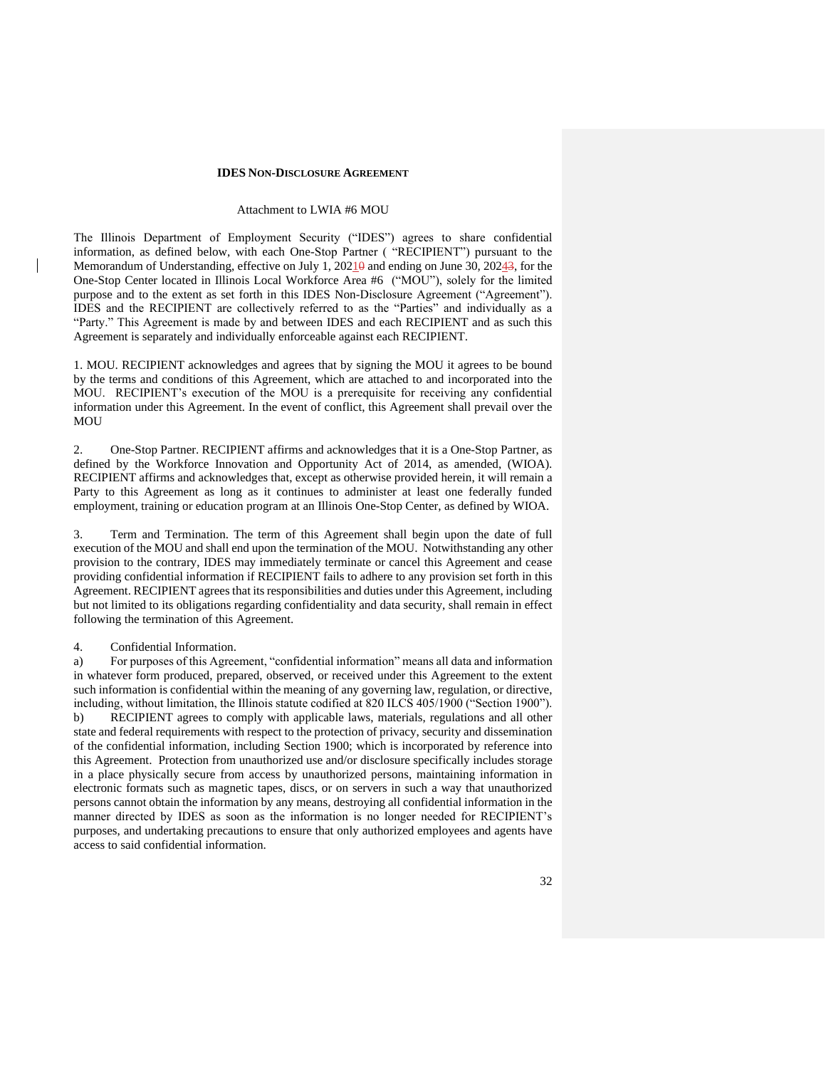#### **IDES NON-DISCLOSURE AGREEMENT**

#### Attachment to LWIA #6 MOU

The Illinois Department of Employment Security ("IDES") agrees to share confidential information, as defined below, with each One-Stop Partner ( "RECIPIENT") pursuant to the Memorandum of Understanding, effective on July  $1,20210$  and ending on June 30, 20243, for the One-Stop Center located in Illinois Local Workforce Area #6 ("MOU"), solely for the limited purpose and to the extent as set forth in this IDES Non-Disclosure Agreement ("Agreement"). IDES and the RECIPIENT are collectively referred to as the "Parties" and individually as a "Party." This Agreement is made by and between IDES and each RECIPIENT and as such this Agreement is separately and individually enforceable against each RECIPIENT.

1. MOU. RECIPIENT acknowledges and agrees that by signing the MOU it agrees to be bound by the terms and conditions of this Agreement, which are attached to and incorporated into the MOU. RECIPIENT's execution of the MOU is a prerequisite for receiving any confidential information under this Agreement. In the event of conflict, this Agreement shall prevail over the MOU

2. One-Stop Partner. RECIPIENT affirms and acknowledges that it is a One-Stop Partner, as defined by the Workforce Innovation and Opportunity Act of 2014, as amended, (WIOA). RECIPIENT affirms and acknowledges that, except as otherwise provided herein, it will remain a Party to this Agreement as long as it continues to administer at least one federally funded employment, training or education program at an Illinois One-Stop Center, as defined by WIOA.

3. Term and Termination. The term of this Agreement shall begin upon the date of full execution of the MOU and shall end upon the termination of the MOU. Notwithstanding any other provision to the contrary, IDES may immediately terminate or cancel this Agreement and cease providing confidential information if RECIPIENT fails to adhere to any provision set forth in this Agreement. RECIPIENT agrees that its responsibilities and duties under this Agreement, including but not limited to its obligations regarding confidentiality and data security, shall remain in effect following the termination of this Agreement.

#### 4. Confidential Information.

a) For purposes of this Agreement, "confidential information" means all data and information in whatever form produced, prepared, observed, or received under this Agreement to the extent such information is confidential within the meaning of any governing law, regulation, or directive, including, without limitation, the Illinois statute codified at 820 ILCS 405/1900 ("Section 1900"). b) RECIPIENT agrees to comply with applicable laws, materials, regulations and all other state and federal requirements with respect to the protection of privacy, security and dissemination of the confidential information, including Section 1900; which is incorporated by reference into this Agreement. Protection from unauthorized use and/or disclosure specifically includes storage in a place physically secure from access by unauthorized persons, maintaining information in electronic formats such as magnetic tapes, discs, or on servers in such a way that unauthorized persons cannot obtain the information by any means, destroying all confidential information in the manner directed by IDES as soon as the information is no longer needed for RECIPIENT's purposes, and undertaking precautions to ensure that only authorized employees and agents have access to said confidential information.